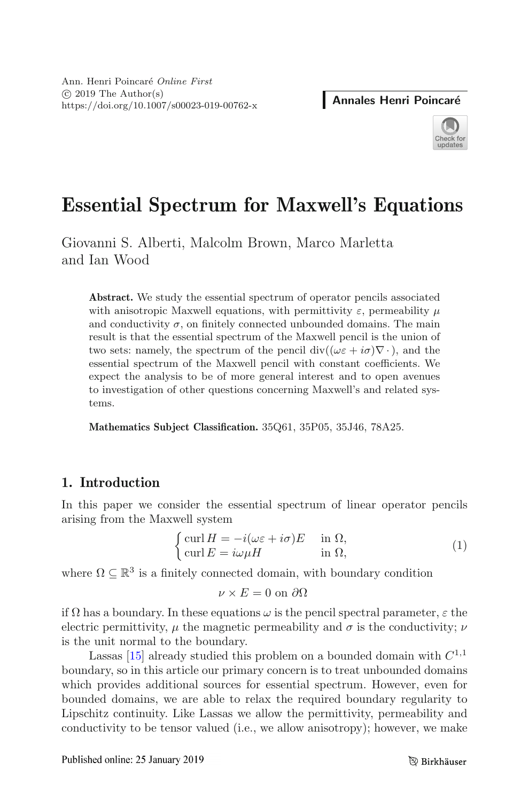

# **Essential Spectrum for Maxwell's Equations**

Giovanni S. Alberti, Malcolm Brown, Marco Marletta and Ian Wood

**Abstract.** We study the essential spectrum of operator pencils associated with anisotropic Maxwell equations, with permittivity  $\varepsilon$ , permeability  $\mu$ and conductivity  $\sigma$ , on finitely connected unbounded domains. The main result is that the essential spectrum of the Maxwell pencil is the union of two sets: namely, the spectrum of the pencil div( $(\omega \varepsilon + i \sigma) \nabla \cdot$ ), and the essential spectrum of the Maxwell pencil with constant coefficients. We expect the analysis to be of more general interest and to open avenues to investigation of other questions concerning Maxwell's and related systems.

**Mathematics Subject Classification.** 35Q61, 35P05, 35J46, 78A25.

## **1. Introduction**

In this paper we consider the essential spectrum of linear operator pencils arising from the Maxwell system

<span id="page-0-0"></span>
$$
\begin{cases} \operatorname{curl} H = -i(\omega \varepsilon + i\sigma) E & \text{in } \Omega, \\ \operatorname{curl} E = i\omega \mu H & \text{in } \Omega, \end{cases}
$$
 (1)

where  $\Omega \subseteq \mathbb{R}^3$  is a finitely connected domain, with boundary condition

$$
\nu \times E = 0 \text{ on } \partial\Omega
$$

if  $\Omega$  has a boundary. In these equations  $\omega$  is the pencil spectral parameter,  $\varepsilon$  the electric permittivity,  $\mu$  the magnetic permeability and  $\sigma$  is the conductivity;  $\nu$ is the unit normal to the boundary.

Lassas [\[15\]](#page-27-0) already studied this problem on a bounded domain with  $C^{1,1}$ boundary, so in this article our primary concern is to treat unbounded domains which provides additional sources for essential spectrum. However, even for bounded domains, we are able to relax the required boundary regularity to Lipschitz continuity. Like Lassas we allow the permittivity, permeability and conductivity to be tensor valued (i.e., we allow anisotropy); however, we make

Published online: 25 January 2019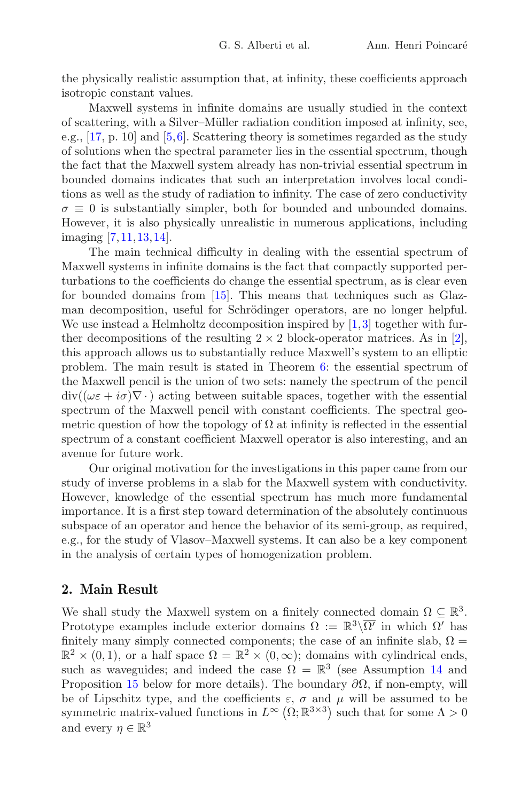the physically realistic assumption that, at infinity, these coefficients approach isotropic constant values.

Maxwell systems in infinite domains are usually studied in the context of scattering, with a Silver–Müller radiation condition imposed at infinity, see, e.g., [\[17](#page-27-1), p. 10] and [\[5](#page-26-0)[,6\]](#page-26-1). Scattering theory is sometimes regarded as the study of solutions when the spectral parameter lies in the essential spectrum, though the fact that the Maxwell system already has non-trivial essential spectrum in bounded domains indicates that such an interpretation involves local conditions as well as the study of radiation to infinity. The case of zero conductivity  $\sigma \equiv 0$  is substantially simpler, both for bounded and unbounded domains. However, it is also physically unrealistic in numerous applications, including imaging [\[7,](#page-26-2)[11](#page-27-2)[,13](#page-27-3),[14\]](#page-27-4).

The main technical difficulty in dealing with the essential spectrum of Maxwell systems in infinite domains is the fact that compactly supported perturbations to the coefficients do change the essential spectrum, as is clear even for bounded domains from [\[15](#page-27-0)]. This means that techniques such as Glazman decomposition, useful for Schrödinger operators, are no longer helpful. We use instead a Helmholtz decomposition inspired by  $[1,3]$  $[1,3]$  together with further decompositions of the resulting  $2 \times 2$  block-operator matrices. As in [\[2\]](#page-26-5), this approach allows us to substantially reduce Maxwell's system to an elliptic problem. The main result is stated in Theorem [6:](#page-4-0) the essential spectrum of the Maxwell pencil is the union of two sets: namely the spectrum of the pencil  $div((\omega \varepsilon + i \sigma) \nabla \cdot)$  acting between suitable spaces, together with the essential spectrum of the Maxwell pencil with constant coefficients. The spectral geometric question of how the topology of  $\Omega$  at infinity is reflected in the essential spectrum of a constant coefficient Maxwell operator is also interesting, and an avenue for future work.

Our original motivation for the investigations in this paper came from our study of inverse problems in a slab for the Maxwell system with conductivity. However, knowledge of the essential spectrum has much more fundamental importance. It is a first step toward determination of the absolutely continuous subspace of an operator and hence the behavior of its semi-group, as required, e.g., for the study of Vlasov–Maxwell systems. It can also be a key component in the analysis of certain types of homogenization problem.

#### **2. Main Result**

We shall study the Maxwell system on a finitely connected domain  $\Omega \subseteq \mathbb{R}^3$ . Prototype examples include exterior domains  $\Omega := \mathbb{R}^3 \setminus \overline{\Omega'}$  in which  $\Omega'$  has finitely many simply connected components; the case of an infinite slab,  $\Omega =$  $\mathbb{R}^2 \times (0, 1)$ , or a half space  $\Omega = \mathbb{R}^2 \times (0, \infty)$ ; domains with cylindrical ends, such as waveguides; and indeed the case  $\Omega = \mathbb{R}^3$  (see Assumption [14](#page-9-0) and Proposition [15](#page-9-1) below for more details). The boundary  $\partial\Omega$ , if non-empty, will be of Lipschitz type, and the coefficients  $\varepsilon$ ,  $\sigma$  and  $\mu$  will be assumed to be symmetric matrix-valued functions in  $L^{\infty}(\Omega;\mathbb{R}^{3\times3})$  such that for some  $\Lambda>0$ and every  $\eta \in \mathbb{R}^3$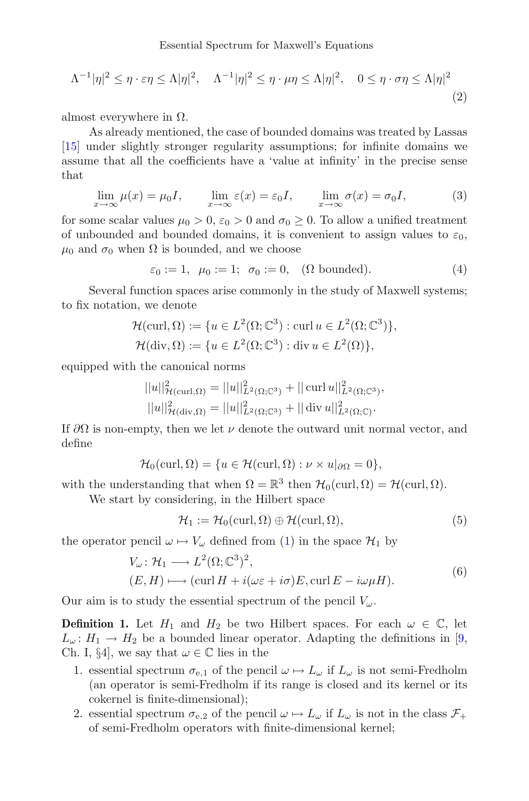Essential Spectrum for Maxwell's Equations

<span id="page-2-0"></span>
$$
\Lambda^{-1}|\eta|^2 \le \eta \cdot \varepsilon \eta \le \Lambda|\eta|^2, \quad \Lambda^{-1}|\eta|^2 \le \eta \cdot \mu \eta \le \Lambda|\eta|^2, \quad 0 \le \eta \cdot \sigma \eta \le \Lambda|\eta|^2
$$
\n(2)

almost everywhere in  $Ω$ .

As already mentioned, the case of bounded domains was treated by Lassas [\[15\]](#page-27-0) under slightly stronger regularity assumptions; for infinite domains we assume that all the coefficients have a 'value at infinity' in the precise sense that

<span id="page-2-1"></span>
$$
\lim_{x \to \infty} \mu(x) = \mu_0 I, \qquad \lim_{x \to \infty} \varepsilon(x) = \varepsilon_0 I, \qquad \lim_{x \to \infty} \sigma(x) = \sigma_0 I,\tag{3}
$$

for some scalar values  $\mu_0 > 0$ ,  $\varepsilon_0 > 0$  and  $\sigma_0 \geq 0$ . To allow a unified treatment of unbounded and bounded domains, it is convenient to assign values to  $\varepsilon_0$ ,  $\mu_0$  and  $\sigma_0$  when  $\Omega$  is bounded, and we choose

<span id="page-2-2"></span>
$$
\varepsilon_0 := 1, \ \mu_0 := 1; \ \sigma_0 := 0, \ \ (\Omega \text{ bounded}). \tag{4}
$$

Several function spaces arise commonly in the study of Maxwell systems; to fix notation, we denote

$$
\mathcal{H}(\text{curl}, \Omega) := \{ u \in L^2(\Omega; \mathbb{C}^3) : \text{curl } u \in L^2(\Omega; \mathbb{C}^3) \},
$$
  

$$
\mathcal{H}(\text{div}, \Omega) := \{ u \in L^2(\Omega; \mathbb{C}^3) : \text{div } u \in L^2(\Omega) \},
$$

equipped with the canonical norms

$$
||u||^2_{\mathcal{H}(\text{curl},\Omega)} = ||u||^2_{L^2(\Omega;\mathbb{C}^3)} + ||\operatorname{curl} u||^2_{L^2(\Omega;\mathbb{C}^3)},
$$
  

$$
||u||^2_{\mathcal{H}(\text{div},\Omega)} = ||u||^2_{L^2(\Omega;\mathbb{C}^3)} + ||\operatorname{div} u||^2_{L^2(\Omega;\mathbb{C})}.
$$

If  $\partial\Omega$  is non-empty, then we let  $\nu$  denote the outward unit normal vector, and define

$$
\mathcal{H}_0(\text{curl}, \Omega) = \{ u \in \mathcal{H}(\text{curl}, \Omega) : \nu \times u|_{\partial \Omega} = 0 \},
$$

with the understanding that when  $\Omega = \mathbb{R}^3$  then  $\mathcal{H}_0(\text{curl}, \Omega) = \mathcal{H}(\text{curl}, \Omega)$ .

We start by considering, in the Hilbert space

$$
\mathcal{H}_1 := \mathcal{H}_0(\text{curl}, \Omega) \oplus \mathcal{H}(\text{curl}, \Omega), \tag{5}
$$

the operator pencil  $\omega \mapsto V_{\omega}$  defined from [\(1\)](#page-0-0) in the space  $\mathcal{H}_1$  by

<span id="page-2-3"></span>
$$
V_{\omega}: \mathcal{H}_1 \longrightarrow L^2(\Omega; \mathbb{C}^3)^2,
$$
  
\n
$$
(E, H) \longmapsto (\operatorname{curl} H + i(\omega \varepsilon + i\sigma)E, \operatorname{curl} E - i\omega \mu H).
$$
\n(6)

Our aim is to study the essential spectrum of the pencil  $V_\omega$ .

**Definition 1.** Let  $H_1$  and  $H_2$  be two Hilbert spaces. For each  $\omega \in \mathbb{C}$ , let  $L_{\omega}: H_1 \to H_2$  be a bounded linear operator. Adapting the definitions in [\[9,](#page-26-6) Ch. I, §4, we say that  $\omega \in \mathbb{C}$  lies in the

- 1. essential spectrum  $\sigma_{e,1}$  of the pencil  $\omega \mapsto L_{\omega}$  if  $L_{\omega}$  is not semi-Fredholm (an operator is semi-Fredholm if its range is closed and its kernel or its cokernel is finite-dimensional);
- 2. essential spectrum  $\sigma_{e,2}$  of the pencil  $\omega \mapsto L_{\omega}$  if  $L_{\omega}$  is not in the class  $\mathcal{F}_{+}$ of semi-Fredholm operators with finite-dimensional kernel;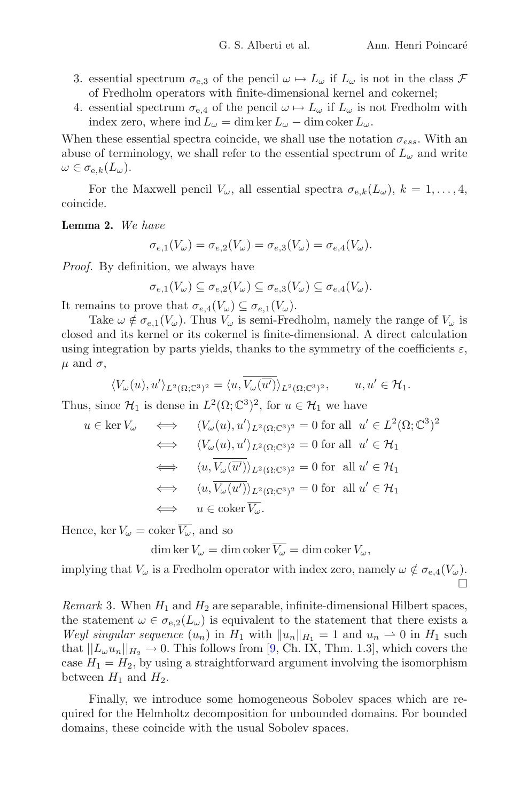- 3. essential spectrum  $\sigma_{e,3}$  of the pencil  $\omega \mapsto L_{\omega}$  if  $L_{\omega}$  is not in the class  $\mathcal F$ of Fredholm operators with finite-dimensional kernel and cokernel;
- 4. essential spectrum  $\sigma_{e,4}$  of the pencil  $\omega \mapsto L_{\omega}$  if  $L_{\omega}$  is not Fredholm with index zero, where ind  $L_{\omega} = \dim \ker L_{\omega} - \dim \operatorname{coker} L_{\omega}$ .

When these essential spectra coincide, we shall use the notation  $\sigma_{ess}$ . With an abuse of terminology, we shall refer to the essential spectrum of  $L_{\omega}$  and write  $\omega \in \sigma_{e,k}(L_{\omega}).$ 

For the Maxwell pencil  $V_{\omega}$ , all essential spectra  $\sigma_{e,k}(L_{\omega}), k = 1, \ldots, 4$ , coincide.

<span id="page-3-0"></span>**Lemma 2.** *We have*

$$
\sigma_{e,1}(V_{\omega}) = \sigma_{e,2}(V_{\omega}) = \sigma_{e,3}(V_{\omega}) = \sigma_{e,4}(V_{\omega}).
$$

*Proof.* By definition, we always have

$$
\sigma_{e,1}(V_{\omega}) \subseteq \sigma_{e,2}(V_{\omega}) \subseteq \sigma_{e,3}(V_{\omega}) \subseteq \sigma_{e,4}(V_{\omega}).
$$

It remains to prove that  $\sigma_{e,4}(V_\omega) \subseteq \sigma_{e,1}(V_\omega)$ .

Take  $\omega \notin \sigma_{e,1}(V_{\omega})$ . Thus  $V_{\omega}$  is semi-Fredholm, namely the range of  $V_{\omega}$  is closed and its kernel or its cokernel is finite-dimensional. A direct calculation using integration by parts yields, thanks to the symmetry of the coefficients  $\varepsilon$ ,  $\mu$  and  $\sigma$ ,

$$
\langle V_{\omega}(u), u' \rangle_{L^2(\Omega; \mathbb{C}^3)^2} = \langle u, \overline{V_{\omega}(\overline{u'})} \rangle_{L^2(\Omega; \mathbb{C}^3)^2}, \qquad u, u' \in \mathcal{H}_1.
$$

Thus, since  $\mathcal{H}_1$  is dense in  $L^2(\Omega; \mathbb{C}^3)^2$ , for  $u \in \mathcal{H}_1$  we have

$$
u \in \ker V_{\omega} \iff \langle V_{\omega}(u), u' \rangle_{L^2(\Omega; \mathbb{C}^3)^2} = 0 \text{ for all } u' \in L^2(\Omega; \mathbb{C}^3)^2
$$
  
\n
$$
\iff \langle V_{\omega}(u), u' \rangle_{L^2(\Omega; \mathbb{C}^3)^2} = 0 \text{ for all } u' \in \mathcal{H}_1
$$
  
\n
$$
\iff \langle u, \overline{V_{\omega}(\overline{u'})}\rangle_{L^2(\Omega; \mathbb{C}^3)^2} = 0 \text{ for all } u' \in \mathcal{H}_1
$$
  
\n
$$
\iff \langle u, \overline{V_{\omega}(u')}\rangle_{L^2(\Omega; \mathbb{C}^3)^2} = 0 \text{ for all } u' \in \mathcal{H}_1
$$
  
\n
$$
\iff u \in \text{coker } \overline{V_{\omega}}.
$$

Hence, ker  $V_{\omega} = \text{coker} \overline{V_{\omega}}$ , and so

$$
\dim \ker V_{\omega} = \dim \operatorname{coker} \overline{V_{\omega}} = \dim \operatorname{coker} V_{\omega},
$$

implying that  $V_{\omega}$  is a Fredholm operator with index zero, namely  $\omega \notin \sigma_{e,4}(V_{\omega}).$  $\Box$ 

<span id="page-3-1"></span>*Remark* 3. When  $H_1$  and  $H_2$  are separable, infinite-dimensional Hilbert spaces, the statement  $\omega \in \sigma_{e,2}(L_{\omega})$  is equivalent to the statement that there exists a *Weyl singular sequence*  $(u_n)$  in  $H_1$  with  $||u_n||_{H_1} = 1$  and  $u_n \rightharpoonup 0$  in  $H_1$  such that  $||L_{\omega}u_n||_{H_2} \to 0$ . This follows from [\[9](#page-26-6), Ch. IX, Thm. 1.3], which covers the case  $H_1 = H_2$ , by using a straightforward argument involving the isomorphism between  $H_1$  and  $H_2$ .

Finally, we introduce some homogeneous Sobolev spaces which are required for the Helmholtz decomposition for unbounded domains. For bounded domains, these coincide with the usual Sobolev spaces.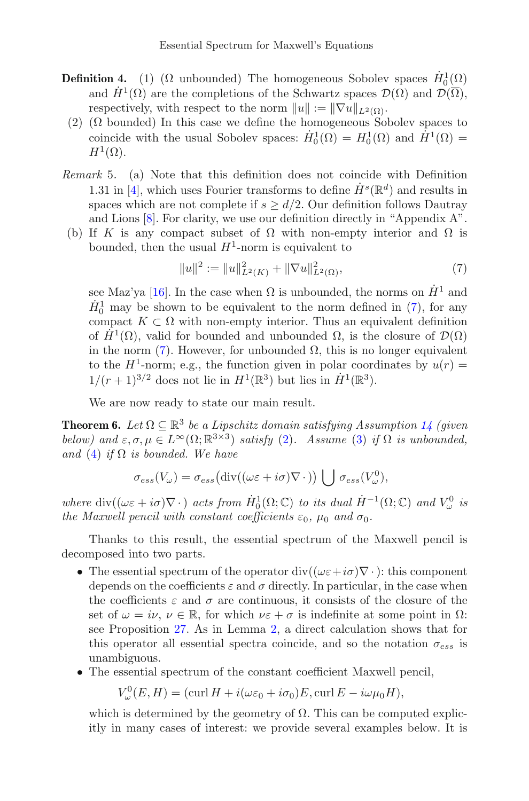- **Definition 4.** (1) ( $\Omega$  unbounded) The homogeneous Sobolev spaces  $\dot{H}^1_0(\Omega)$ and  $\dot{H}^1(\Omega)$  are the completions of the Schwartz spaces  $\mathcal{D}(\Omega)$  and  $\mathcal{D}(\overline{\Omega})$ , respectively, with respect to the norm  $||u|| := ||\nabla u||_{L^2(\Omega)}$ .
- (2) ( $\Omega$  bounded) In this case we define the homogeneous Sobolev spaces to coincide with the usual Sobolev spaces:  $\dot{H}_0^1(\Omega) = H_0^1(\Omega)$  and  $\dot{H}^1(\Omega) =$  $H^1(\Omega)$ .
- *Remark* 5*.* (a) Note that this definition does not coincide with Definition 1.31 in [\[4](#page-26-7)], which uses Fourier transforms to define  $\dot{H}^s(\mathbb{R}^d)$  and results in spaces which are not complete if  $s > d/2$ . Our definition follows Dautray and Lions [\[8\]](#page-26-8). For clarity, we use our definition directly in "Appendix A".
- (b) If K is any compact subset of  $\Omega$  with non-empty interior and  $\Omega$  is bounded, then the usual  $H^1$ -norm is equivalent to

<span id="page-4-1"></span>
$$
||u||^2 := ||u||^2_{L^2(K)} + ||\nabla u||^2_{L^2(\Omega)},
$$
\n(7)

see Maz'ya [\[16\]](#page-27-5). In the case when  $\Omega$  is unbounded, the norms on  $\dot{H}^1$  and  $\dot{H}_0^1$  may be shown to be equivalent to the norm defined in [\(7\)](#page-4-1), for any compact  $K \subset \Omega$  with non-empty interior. Thus an equivalent definition of  $H^1(\Omega)$ , valid for bounded and unbounded  $\Omega$ , is the closure of  $\mathcal{D}(\Omega)$ in the norm  $(7)$ . However, for unbounded  $\Omega$ , this is no longer equivalent to the  $H^1$ -norm; e.g., the function given in polar coordinates by  $u(r) =$  $1/(r+1)^{3/2}$  does not lie in  $H^1(\mathbb{R}^3)$  but lies in  $\dot{H}^1(\mathbb{R}^3)$ .

We are now ready to state our main result.

<span id="page-4-0"></span>**Theorem 6.** *Let*  $\Omega \subset \mathbb{R}^3$  *be a Lipschitz domain satisfying Assumption [14](#page-9-0) (given*) *below)* and  $\varepsilon, \sigma, \mu \in L^{\infty}(\Omega; \mathbb{R}^{3 \times 3})$  *satisfy* [\(2\)](#page-2-0). Assume [\(3\)](#page-2-1) *if*  $\Omega$  *is unbounded, and* [\(4\)](#page-2-2) *if*  $\Omega$  *is bounded. We have* 

$$
\sigma_{ess}(V_{\omega}) = \sigma_{ess} \bigl( \mathrm{div}((\omega \varepsilon + i \sigma) \nabla \cdot ) \bigr) \, \bigcup \, \sigma_{ess}(V_{\omega}^0),
$$

*where*  $\text{div}((\omega \varepsilon + i\sigma)\nabla \cdot)$  *acts from*  $H_0^1(\Omega; \mathbb{C})$  *to its dual*  $H^{-1}(\Omega; \mathbb{C})$  *and*  $V_\omega^0$  *is the Maxwell pencil with constant coefficients*  $\varepsilon_0$ ,  $\mu_0$  *and*  $\sigma_0$ *.* 

Thanks to this result, the essential spectrum of the Maxwell pencil is decomposed into two parts.

- The essential spectrum of the operator div( $(\omega \varepsilon + i\sigma)\nabla \cdot$ ): this component depends on the coefficients  $\varepsilon$  and  $\sigma$  directly. In particular, in the case when the coefficients  $\varepsilon$  and  $\sigma$  are continuous, it consists of the closure of the set of  $\omega = i\nu, \nu \in \mathbb{R}$ , for which  $\nu \in \tau$  is indefinite at some point in  $\Omega$ : see Proposition [27.](#page-20-0) As in Lemma [2,](#page-3-0) a direct calculation shows that for this operator all essential spectra coincide, and so the notation  $\sigma_{ess}$  is unambiguous.
- The essential spectrum of the constant coefficient Maxwell pencil,

$$
V^0_{\omega}(E, H) = (\text{curl } H + i(\omega \varepsilon_0 + i\sigma_0)E, \text{curl } E - i\omega \mu_0 H),
$$

which is determined by the geometry of  $\Omega$ . This can be computed explicitly in many cases of interest: we provide several examples below. It is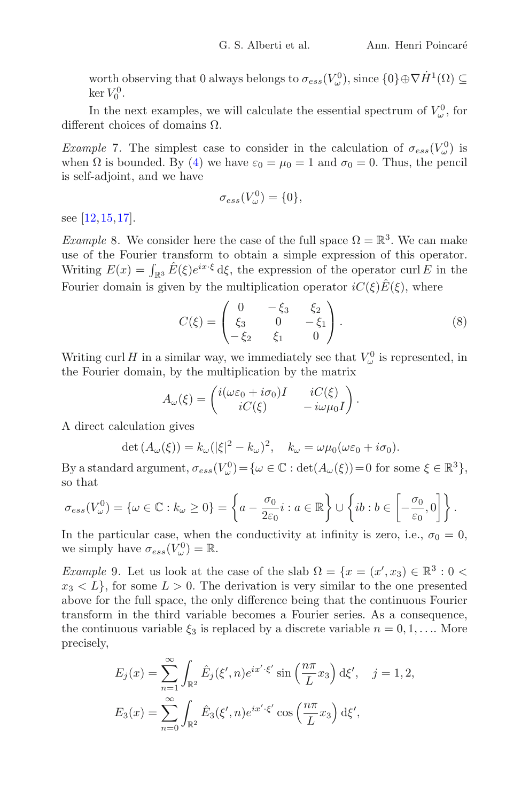worth observing that 0 always belongs to  $\sigma_{ess}(V^0_\omega)$ , since  $\{0\} \oplus \nabla \dot{H}^1(\Omega) \subseteq$  $\ker V_0^0$ .

In the next examples, we will calculate the essential spectrum of  $V^0_\omega$ , for different choices of domains Ω.

*Example* 7. The simplest case to consider in the calculation of  $\sigma_{ess}(V^0_\omega)$  is when  $\Omega$  is bounded. By [\(4\)](#page-2-2) we have  $\varepsilon_0 = \mu_0 = 1$  and  $\sigma_0 = 0$ . Thus, the pencil is self-adjoint, and we have

$$
\sigma_{ess}(V^0_\omega) = \{0\},\,
$$

see [\[12](#page-27-6),[15](#page-27-0)[,17](#page-27-1)].

<span id="page-5-0"></span>*Example* 8. We consider here the case of the full space  $\Omega = \mathbb{R}^3$ . We can make use of the Fourier transform to obtain a simple expression of this operator. Writing  $E(x) = \int_{\mathbb{R}^3} \hat{E}(\xi) e^{ix \cdot \xi} d\xi$ , the expression of the operator curl E in the Fourier domain is given by the multiplication operator  $iC(\xi)\hat{E}(\xi)$ , where

<span id="page-5-1"></span>
$$
C(\xi) = \begin{pmatrix} 0 & -\xi_3 & \xi_2 \\ \xi_3 & 0 & -\xi_1 \\ -\xi_2 & \xi_1 & 0 \end{pmatrix}.
$$
 (8)

Writing curl H in a similar way, we immediately see that  $V^0_\omega$  is represented, in the Fourier domain, by the multiplication by the matrix

$$
A_{\omega}(\xi) = \begin{pmatrix} i(\omega \varepsilon_0 + i\sigma_0)I & iC(\xi) \\ iC(\xi) & -i\omega \mu_0 I \end{pmatrix}.
$$

A direct calculation gives

$$
\det(A_{\omega}(\xi)) = k_{\omega}(|\xi|^2 - k_{\omega})^2, \quad k_{\omega} = \omega \mu_0(\omega \varepsilon_0 + i \sigma_0).
$$

By a standard argument,  $\sigma_{ess}(V^0_\omega) = {\omega \in \mathbb{C} : \det(A_\omega(\xi)) = 0 \text{ for some } \xi \in \mathbb{R}^3},$ so that

$$
\sigma_{ess}(V_{\omega}^0) = \{ \omega \in \mathbb{C} : k_{\omega} \ge 0 \} = \left\{ a - \frac{\sigma_0}{2\varepsilon_0} i : a \in \mathbb{R} \right\} \cup \left\{ ib : b \in \left[ -\frac{\sigma_0}{\varepsilon_0}, 0 \right] \right\}.
$$

In the particular case, when the conductivity at infinity is zero, i.e.,  $\sigma_0 = 0$ , we simply have  $\sigma_{ess}(V^0_\omega) = \mathbb{R}$ .

*Example* 9*.* Let us look at the case of the slab  $\Omega = \{x = (x', x_3) \in \mathbb{R}^3 : 0 \leq x_3, y_1, y_2, \dots\}$  $x_3 < L$ , for some  $L > 0$ . The derivation is very similar to the one presented above for the full space, the only difference being that the continuous Fourier transform in the third variable becomes a Fourier series. As a consequence, the continuous variable  $\xi_3$  is replaced by a discrete variable  $n = 0, 1, \ldots$ . More precisely,

$$
E_j(x) = \sum_{n=1}^{\infty} \int_{\mathbb{R}^2} \hat{E}_j(\xi', n) e^{ix' \cdot \xi'} \sin\left(\frac{n\pi}{L} x_3\right) d\xi', \quad j = 1, 2,
$$
  

$$
E_3(x) = \sum_{n=0}^{\infty} \int_{\mathbb{R}^2} \hat{E}_3(\xi', n) e^{ix' \cdot \xi'} \cos\left(\frac{n\pi}{L} x_3\right) d\xi',
$$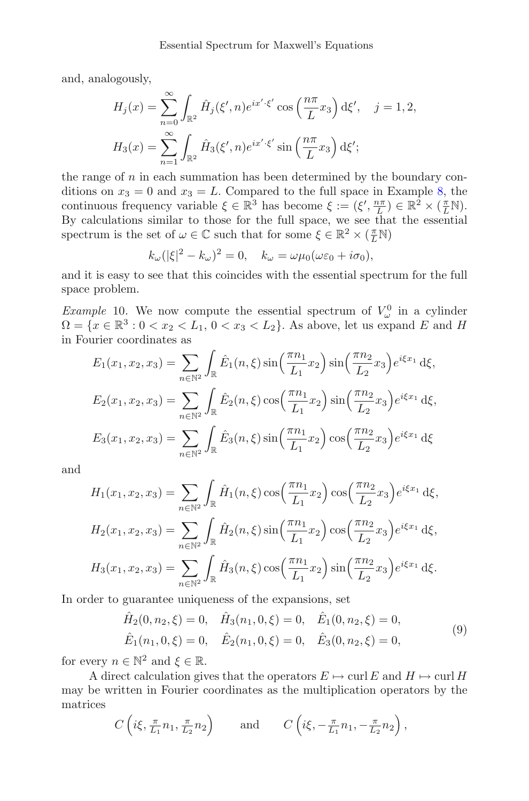and, analogously,

$$
H_j(x) = \sum_{n=0}^{\infty} \int_{\mathbb{R}^2} \hat{H}_j(\xi', n) e^{ix' \cdot \xi'} \cos\left(\frac{n\pi}{L} x_3\right) d\xi', \quad j = 1, 2,
$$
  

$$
H_3(x) = \sum_{n=1}^{\infty} \int_{\mathbb{R}^2} \hat{H}_3(\xi', n) e^{ix' \cdot \xi'} \sin\left(\frac{n\pi}{L} x_3\right) d\xi';
$$

the range of  $n$  in each summation has been determined by the boundary conditions on  $x_3 = 0$  and  $x_3 = L$ . Compared to the full space in Example [8,](#page-5-0) the continuous frequency variable  $\xi \in \mathbb{R}^3$  has become  $\xi := (\xi', \frac{n\pi}{L}) \in \mathbb{R}^2 \times (\frac{\pi}{L} \mathbb{N})$ . By calculations similar to those for the full space, we see that the essential spectrum is the set of  $\omega \in \mathbb{C}$  such that for some  $\xi \in \mathbb{R}^2 \times (\frac{\pi}{L} \mathbb{N})$ 

$$
k_{\omega}(|\xi|^2 - k_{\omega})^2 = 0, \quad k_{\omega} = \omega \mu_0(\omega \varepsilon_0 + i \sigma_0),
$$

and it is easy to see that this coincides with the essential spectrum for the full space problem.

*Example* 10. We now compute the essential spectrum of  $V^0_\omega$  in a cylinder  $\Omega = \{x \in \mathbb{R}^3 : 0 < x_2 < L_1, 0 < x_3 < L_2\}.$  As above, let us expand E and H in Fourier coordinates as

$$
E_1(x_1, x_2, x_3) = \sum_{n \in \mathbb{N}^2} \int_{\mathbb{R}} \hat{E}_1(n, \xi) \sin\left(\frac{\pi n_1}{L_1} x_2\right) \sin\left(\frac{\pi n_2}{L_2} x_3\right) e^{i\xi x_1} d\xi,
$$
  
\n
$$
E_2(x_1, x_2, x_3) = \sum_{n \in \mathbb{N}^2} \int_{\mathbb{R}} \hat{E}_2(n, \xi) \cos\left(\frac{\pi n_1}{L_1} x_2\right) \sin\left(\frac{\pi n_2}{L_2} x_3\right) e^{i\xi x_1} d\xi,
$$
  
\n
$$
E_3(x_1, x_2, x_3) = \sum_{n \in \mathbb{N}^2} \int_{\mathbb{R}} \hat{E}_3(n, \xi) \sin\left(\frac{\pi n_1}{L_1} x_2\right) \cos\left(\frac{\pi n_2}{L_2} x_3\right) e^{i\xi x_1} d\xi
$$

and

$$
H_1(x_1, x_2, x_3) = \sum_{n \in \mathbb{N}^2} \int_{\mathbb{R}} \hat{H}_1(n, \xi) \cos\left(\frac{\pi n_1}{L_1} x_2\right) \cos\left(\frac{\pi n_2}{L_2} x_3\right) e^{i\xi x_1} d\xi,
$$
  
\n
$$
H_2(x_1, x_2, x_3) = \sum_{n \in \mathbb{N}^2} \int_{\mathbb{R}} \hat{H}_2(n, \xi) \sin\left(\frac{\pi n_1}{L_1} x_2\right) \cos\left(\frac{\pi n_2}{L_2} x_3\right) e^{i\xi x_1} d\xi,
$$
  
\n
$$
H_3(x_1, x_2, x_3) = \sum_{n \in \mathbb{N}^2} \int_{\mathbb{R}} \hat{H}_3(n, \xi) \cos\left(\frac{\pi n_1}{L_1} x_2\right) \sin\left(\frac{\pi n_2}{L_2} x_3\right) e^{i\xi x_1} d\xi.
$$

In order to guarantee uniqueness of the expansions, set

<span id="page-6-0"></span>
$$
\hat{H}_2(0, n_2, \xi) = 0, \quad \hat{H}_3(n_1, 0, \xi) = 0, \quad \hat{E}_1(0, n_2, \xi) = 0,
$$
  

$$
\hat{E}_1(n_1, 0, \xi) = 0, \quad \hat{E}_2(n_1, 0, \xi) = 0, \quad \hat{E}_3(0, n_2, \xi) = 0,
$$
  
(9)

for every  $n \in \mathbb{N}^2$  and  $\xi \in \mathbb{R}$ .

A direct calculation gives that the operators  $E \mapsto \text{curl } E$  and  $H \mapsto \text{curl } H$ may be written in Fourier coordinates as the multiplication operators by the matrices

$$
C\left(i\xi, \frac{\pi}{L_1}n_1, \frac{\pi}{L_2}n_2\right)
$$
 and  $C\left(i\xi, -\frac{\pi}{L_1}n_1, -\frac{\pi}{L_2}n_2\right)$ ,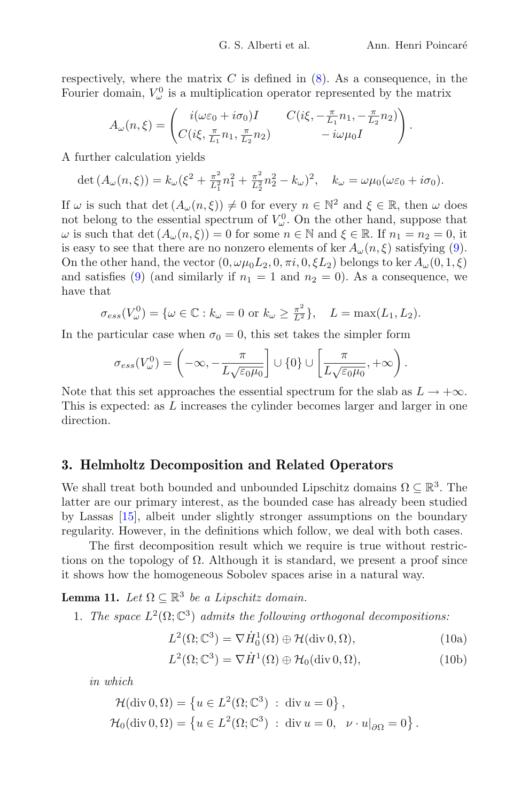respectively, where the matrix  $C$  is defined in  $(8)$ . As a consequence, in the Fourier domain,  $V^0_{\omega}$  is a multiplication operator represented by the matrix

$$
A_{\omega}(n,\xi) = \begin{pmatrix} i(\omega\varepsilon_0 + i\sigma_0)I & C(i\xi, -\frac{\pi}{L_1}n_1, -\frac{\pi}{L_2}n_2) \\ C(i\xi, \frac{\pi}{L_1}n_1, \frac{\pi}{L_2}n_2) & -i\omega\mu_0I \end{pmatrix}.
$$

A further calculation yields

$$
\det (A_{\omega}(n,\xi)) = k_{\omega}(\xi^2 + \frac{\pi^2}{L_1^2}n_1^2 + \frac{\pi^2}{L_2^2}n_2^2 - k_{\omega})^2, \quad k_{\omega} = \omega \mu_0(\omega \varepsilon_0 + i \sigma_0).
$$

If  $\omega$  is such that  $\det(A_{\omega}(n,\xi)) \neq 0$  for every  $n \in \mathbb{N}^2$  and  $\xi \in \mathbb{R}$ , then  $\omega$  does not belong to the essential spectrum of  $V^0_\omega$ . On the other hand, suppose that  $\omega$  is such that det  $(A_{\omega}(n, \xi)) = 0$  for some  $n \in \mathbb{N}$  and  $\xi \in \mathbb{R}$ . If  $n_1 = n_2 = 0$ , it is easy to see that there are no nonzero elements of ker  $A_{\omega}(n, \xi)$  satisfying [\(9\)](#page-6-0). On the other hand, the vector  $(0, \omega\mu_0 L_2, 0, \pi i, 0, \xi L_2)$  belongs to ker  $A_\omega(0, 1, \xi)$ and satisfies [\(9\)](#page-6-0) (and similarly if  $n_1 = 1$  and  $n_2 = 0$ ). As a consequence, we have that

$$
\sigma_{ess}(V^0_\omega) = \{\omega \in \mathbb{C} : k_\omega = 0 \text{ or } k_\omega \ge \frac{\pi^2}{L^2}\}, \quad L = \max(L_1, L_2).
$$

In the particular case when  $\sigma_0 = 0$ , this set takes the simpler form

$$
\sigma_{ess}(V^0_\omega) = \left(-\infty, -\frac{\pi}{L\sqrt{\varepsilon_0\mu_0}}\right] \cup \{0\} \cup \left[\frac{\pi}{L\sqrt{\varepsilon_0\mu_0}}, +\infty\right).
$$

Note that this set approaches the essential spectrum for the slab as  $L \to +\infty$ . This is expected: as L increases the cylinder becomes larger and larger in one direction.

#### **3. Helmholtz Decomposition and Related Operators**

We shall treat both bounded and unbounded Lipschitz domains  $\Omega \subseteq \mathbb{R}^3$ . The latter are our primary interest, as the bounded case has already been studied by Lassas [\[15](#page-27-0)], albeit under slightly stronger assumptions on the boundary regularity. However, in the definitions which follow, we deal with both cases.

The first decomposition result which we require is true without restrictions on the topology of  $\Omega$ . Although it is standard, we present a proof since it shows how the homogeneous Sobolev spaces arise in a natural way.

**Lemma 11.** *Let*  $\Omega \subset \mathbb{R}^3$  *be a Lipschitz domain.* 

1. *The space*  $L^2(\Omega; \mathbb{C}^3)$  *admits the following orthogonal decompositions:* 

<span id="page-7-2"></span><span id="page-7-0"></span>
$$
L^{2}(\Omega; \mathbb{C}^{3}) = \nabla \dot{H}_{0}^{1}(\Omega) \oplus \mathcal{H}(\text{div } 0, \Omega), \qquad (10a)
$$

<span id="page-7-1"></span>
$$
L^{2}(\Omega; \mathbb{C}^{3}) = \nabla \dot{H}^{1}(\Omega) \oplus \mathcal{H}_{0}(\text{div } 0, \Omega), \qquad (10b)
$$

*in which*

$$
\mathcal{H}(\text{div}\,0,\Omega) = \left\{ u \in L^2(\Omega; \mathbb{C}^3) \; : \; \text{div}\,u = 0 \right\},
$$
  

$$
\mathcal{H}_0(\text{div}\,0,\Omega) = \left\{ u \in L^2(\Omega; \mathbb{C}^3) \; : \; \text{div}\,u = 0, \quad \nu \cdot u|_{\partial\Omega} = 0 \right\}.
$$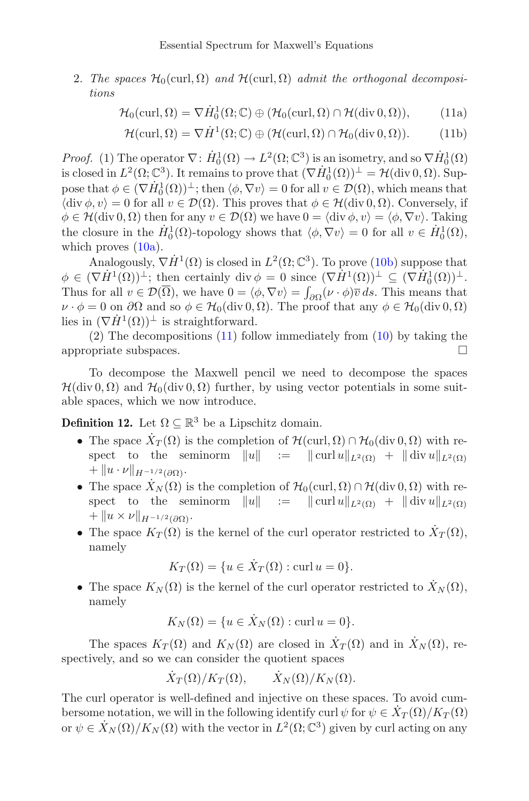2. *The spaces*  $\mathcal{H}_0(\text{curl}, \Omega)$  *and*  $\mathcal{H}(\text{curl}, \Omega)$  *admit the orthogonal decompositions*

<span id="page-8-0"></span>
$$
\mathcal{H}_0(\text{curl}, \Omega) = \nabla \dot{H}_0^1(\Omega; \mathbb{C}) \oplus (\mathcal{H}_0(\text{curl}, \Omega) \cap \mathcal{H}(\text{div } 0, \Omega)), \tag{11a}
$$

$$
\mathcal{H}(\text{curl}, \Omega) = \nabla \dot{H}^{1}(\Omega; \mathbb{C}) \oplus (\mathcal{H}(\text{curl}, \Omega) \cap \mathcal{H}_{0}(\text{div } 0, \Omega)).
$$
 (11b)

*Proof.* (1) The operator  $\nabla: \dot{H}^1_0(\Omega) \to L^2(\Omega; \mathbb{C}^3)$  is an isometry, and so  $\nabla \dot{H}^1_0(\Omega)$ is closed in  $L^2(\Omega; \mathbb{C}^3)$ . It remains to prove that  $(\nabla \dot{H}_0^1(\Omega))^{\perp} = \mathcal{H}(\text{div } 0, \Omega)$ . Suppose that  $\phi \in (\nabla \dot{H}_0^1(\Omega))^{\perp}$ ; then  $\langle \phi, \nabla v \rangle = 0$  for all  $v \in \mathcal{D}(\Omega)$ , which means that  $\langle \text{div }\phi, v \rangle = 0$  for all  $v \in \mathcal{D}(\Omega)$ . This proves that  $\phi \in \mathcal{H}(\text{div } 0, \Omega)$ . Conversely, if  $\phi \in \mathcal{H}(\text{div } 0, \Omega)$  then for any  $v \in \mathcal{D}(\Omega)$  we have  $0 = \langle \text{div } \phi, v \rangle = \langle \phi, \nabla v \rangle$ . Taking the closure in the  $\dot{H}_0^1(\Omega)$ -topology shows that  $\langle \phi, \nabla v \rangle = 0$  for all  $v \in \dot{H}_0^1(\Omega)$ , which proves  $(10a)$ .

Analogously,  $\nabla \dot{H}^{1}(\Omega)$  is closed in  $L^{2}(\Omega; \mathbb{C}^{3})$ . To prove [\(10b\)](#page-7-1) suppose that  $\phi \in (\nabla \dot{H}^1(\Omega))^{\perp}$ ; then certainly div  $\phi = 0$  since  $(\nabla \dot{H}^1(\Omega))^{\perp} \subseteq (\nabla \dot{H}^1_0(\Omega))^{\perp}$ . Thus for all  $v \in \mathcal{D}(\Omega)$ , we have  $0 = \langle \phi, \nabla v \rangle = \int_{\partial \Omega} (\nu \cdot \phi) \overline{v} \, ds$ . This means that  $\nu \cdot \phi = 0$  on  $\partial\Omega$  and so  $\phi \in \mathcal{H}_0(\text{div } 0, \Omega)$ . The proof that any  $\phi \in \mathcal{H}_0(\text{div } 0, \Omega)$ lies in  $(\nabla \dot{H}^1(\Omega))^{\perp}$  is straightforward.

(2) The decompositions [\(11\)](#page-8-0) follow immediately from [\(10\)](#page-7-2) by taking the appropriate subspaces.  $\Box$ 

To decompose the Maxwell pencil we need to decompose the spaces  $\mathcal{H}(\text{div } 0, \Omega)$  and  $\mathcal{H}_0(\text{div } 0, \Omega)$  further, by using vector potentials in some suitable spaces, which we now introduce.

<span id="page-8-1"></span>**Definition 12.** Let  $\Omega \subseteq \mathbb{R}^3$  be a Lipschitz domain.

- The space  $\dot{X}_T(\Omega)$  is the completion of  $\mathcal{H}(\text{curl}, \Omega) \cap \mathcal{H}_0(\text{div } 0, \Omega)$  with respect to the seminorm  $||u|| := || \text{curl } u||_{L^2(\Omega)} + || \text{div } u||_{L^2(\Omega)}$  $+ ||u \cdot \nu||_{H^{-1/2}(\partial \Omega)}$ .
- The space  $\dot{X}_N(\Omega)$  is the completion of  $\mathcal{H}_0(\text{curl}, \Omega) \cap \mathcal{H}(\text{div } 0, \Omega)$  with respect to the seminorm  $||u|| := || \text{curl } u||_{L^2(\Omega)} + || \text{div } u||_{L^2(\Omega)}$  $+ ||u \times \nu||_{H^{-1/2}(\partial\Omega)}$ .
- The space  $K_T(\Omega)$  is the kernel of the curl operator restricted to  $\dot{X}_T(\Omega)$ , namely

$$
K_T(\Omega) = \{ u \in \dot{X}_T(\Omega) : \text{curl } u = 0 \}.
$$

• The space  $K_N(\Omega)$  is the kernel of the curl operator restricted to  $\tilde{X}_N(\Omega)$ , namely

$$
K_N(\Omega) = \{ u \in \dot{X}_N(\Omega) : \text{curl } u = 0 \}.
$$

The spaces  $K_T(\Omega)$  and  $K_N(\Omega)$  are closed in  $\dot{X}_T(\Omega)$  and in  $\dot{X}_N(\Omega)$ , respectively, and so we can consider the quotient spaces

$$
\dot{X}_T(\Omega)/K_T(\Omega), \qquad \dot{X}_N(\Omega)/K_N(\Omega).
$$

The curl operator is well-defined and injective on these spaces. To avoid cumbersome notation, we will in the following identify curl  $\psi$  for  $\psi \in X_T(\Omega)/K_T(\Omega)$ or  $\psi \in \dot{X}_N(\Omega)/K_N(\Omega)$  with the vector in  $L^2(\Omega; \mathbb{C}^3)$  given by curl acting on any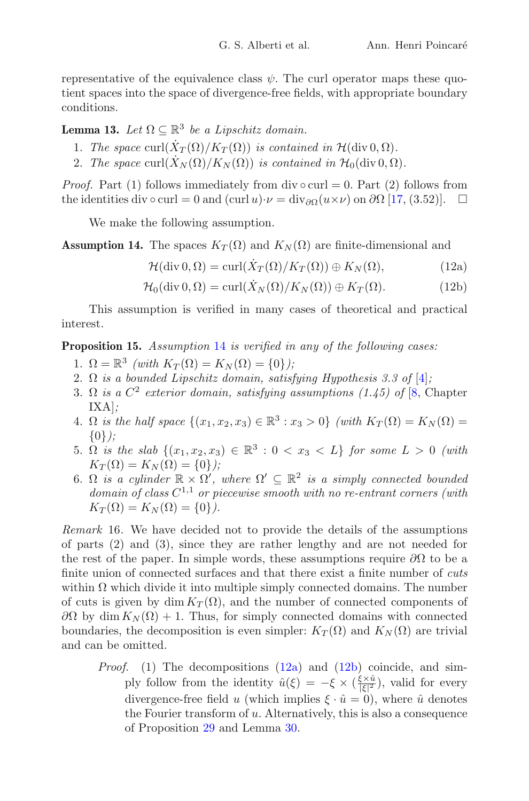representative of the equivalence class  $\psi$ . The curl operator maps these quotient spaces into the space of divergence-free fields, with appropriate boundary conditions.

**Lemma 13.** *Let*  $\Omega \subset \mathbb{R}^3$  *be a Lipschitz domain.* 

- 1. *The space* curl $(\dot{X}_T(\Omega)/K_T(\Omega))$  *is contained in*  $\mathcal{H}(\text{div } 0, \Omega)$ *.*
- 2. *The space* curl $(X_N(\Omega)/K_N(\Omega))$  *is contained in*  $\mathcal{H}_0(\text{div } 0, \Omega)$ *.*

*Proof.* Part (1) follows immediately from div  $\circ$  curl = 0. Part (2) follows from the identities div  $\circ$  curl = 0 and (curl  $u) \cdot \nu = \text{div}_{\partial \Omega}(u \times \nu)$  on  $\partial \Omega$  [\[17,](#page-27-1) (3.52)].  $\Box$ 

We make the following assumption.

<span id="page-9-0"></span>**Assumption 14.** The spaces  $K_T(\Omega)$  and  $K_N(\Omega)$  are finite-dimensional and

<span id="page-9-4"></span><span id="page-9-3"></span><span id="page-9-2"></span> $\mathcal{H}(\text{div } 0, \Omega) = \text{curl}(\dot{X}_T(\Omega)/K_T(\Omega)) \oplus K_N(\Omega),$  (12a)

$$
\mathcal{H}_0(\text{div } 0, \Omega) = \text{curl}(\dot{X}_N(\Omega)/K_N(\Omega)) \oplus K_T(\Omega). \tag{12b}
$$

This assumption is verified in many cases of theoretical and practical interest.

<span id="page-9-1"></span>**Proposition 15.** *Assumption* [14](#page-9-0) *is verified in any of the following cases:*

- 1.  $\Omega = \mathbb{R}^3$  *(with*  $K_T(\Omega) = K_N(\Omega) = \{0\}$ *)*;
- 2. Ω *is a bounded Lipschitz domain, satisfying Hypothesis 3.3 of* [\[4\]](#page-26-7)*;*
- 3.  $\Omega$  *is a*  $C^2$  *exterior domain, satisfying assumptions (1.45) of* [\[8,](#page-26-8) Chapter IXA]*;*
- 4.  $\Omega$  *is the half space*  $\{(x_1, x_2, x_3) \in \mathbb{R}^3 : x_3 > 0\}$  *(with*  $K_T(\Omega) = K_N(\Omega)$ ) {0}*);*
- 5. Ω *is the slab*  $\{(x_1, x_2, x_3) \in \mathbb{R}^3 : 0 < x_3 < L\}$  *for some*  $L > 0$  *(with*  $K_T(\Omega) = K_N(\Omega) = \{0\}$ ;
- 6.  $\Omega$  *is a cylinder*  $\mathbb{R} \times \Omega'$ , where  $\Omega' \subseteq \mathbb{R}^2$  *is a simply connected bounded domain of class* C<sup>1</sup>,<sup>1</sup> *or piecewise smooth with no re-entrant corners (with*  $K_T(\Omega) = K_N(\Omega) = \{0\}.$

*Remark* 16*.* We have decided not to provide the details of the assumptions of parts (2) and (3), since they are rather lengthy and are not needed for the rest of the paper. In simple words, these assumptions require  $\partial\Omega$  to be a finite union of connected surfaces and that there exist a finite number of *cuts* within  $\Omega$  which divide it into multiple simply connected domains. The number of cuts is given by dim  $K_T(\Omega)$ , and the number of connected components of  $\partial Ω$  by dim  $K_N(\Omega) + 1$ . Thus, for simply connected domains with connected boundaries, the decomposition is even simpler:  $K_T(\Omega)$  and  $K_N(\Omega)$  are trivial and can be omitted.

*Proof.* (1) The decompositions [\(12a\)](#page-9-2) and [\(12b\)](#page-9-3) coincide, and simply follow from the identity  $\hat{u}(\xi) = -\xi \times (\frac{\xi \times \hat{u}}{|\xi|^2})$ , valid for every divergence-free field u (which implies  $\xi \cdot \hat{u} = 0$ ), where  $\hat{u}$  denotes the Fourier transform of u. Alternatively, this is also a consequence of Proposition [29](#page-22-0) and Lemma [30.](#page-25-0)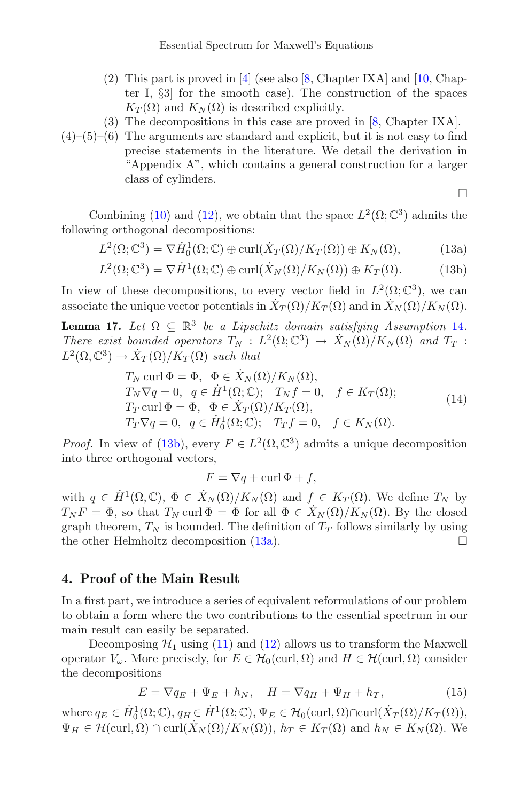- (2) This part is proved in [\[4](#page-26-7)] (see also [\[8,](#page-26-8) Chapter IXA] and [\[10,](#page-26-9) Chapter I, §3] for the smooth case). The construction of the spaces  $K_T(\Omega)$  and  $K_N(\Omega)$  is described explicitly.
- (3) The decompositions in this case are proved in [\[8](#page-26-8), Chapter IXA].
- $(4)$ – $(5)$ – $(6)$  The arguments are standard and explicit, but it is not easy to find precise statements in the literature. We detail the derivation in "Appendix A", which contains a general construction for a larger class of cylinders.

<span id="page-10-1"></span><span id="page-10-0"></span> $\Box$ 

Combining [\(10\)](#page-7-2) and [\(12\)](#page-9-4), we obtain that the space  $L^2(\Omega; \mathbb{C}^3)$  admits the following orthogonal decompositions:

$$
L^{2}(\Omega; \mathbb{C}^{3}) = \nabla \dot{H}_{0}^{1}(\Omega; \mathbb{C}) \oplus \operatorname{curl}(\dot{X}_{T}(\Omega)/K_{T}(\Omega)) \oplus K_{N}(\Omega), \tag{13a}
$$

$$
L^{2}(\Omega; \mathbb{C}^{3}) = \nabla \dot{H}^{1}(\Omega; \mathbb{C}) \oplus \operatorname{curl}(\dot{X}_{N}(\Omega)/K_{N}(\Omega)) \oplus K_{T}(\Omega).
$$
 (13b)

In view of these decompositions, to every vector field in  $L^2(\Omega; \mathbb{C}^3)$ , we can associate the unique vector potentials in  $\dot{X}_T(\Omega)/K_T(\Omega)$  and in  $\dot{X}_N(\Omega)/K_N(\Omega)$ .

**Lemma 17.** *Let*  $\Omega \subseteq \mathbb{R}^3$  *be a Lipschitz domain satisfying Assumption* [14](#page-9-0)*. There exist bounded operators*  $T_N : L^2(\Omega; \mathbb{C}^3) \to \dot{X}_N(\Omega)/K_N(\Omega)$  *and*  $T_T$ :  $L^2(\Omega,\mathbb{C}^3)\to \dot{X}_T(\Omega)/K_T(\Omega)$  *such that* 

<span id="page-10-3"></span>
$$
T_N \operatorname{curl} \Phi = \Phi, \quad \Phi \in \dot{X}_N(\Omega)/K_N(\Omega),
$$
  
\n
$$
T_N \nabla q = 0, \quad q \in \dot{H}^1(\Omega; \mathbb{C}); \quad T_N f = 0, \quad f \in K_T(\Omega);
$$
  
\n
$$
T_T \operatorname{curl} \Phi = \Phi, \quad \Phi \in \dot{X}_T(\Omega)/K_T(\Omega),
$$
  
\n
$$
T_T \nabla q = 0, \quad q \in \dot{H}^1_0(\Omega; \mathbb{C}); \quad T_T f = 0, \quad f \in K_N(\Omega).
$$
\n(14)

*Proof.* In view of [\(13b\)](#page-10-0), every  $F \in L^2(\Omega, \mathbb{C}^3)$  admits a unique decomposition into three orthogonal vectors,

$$
F = \nabla q + \operatorname{curl} \Phi + f,
$$

with  $q \in \dot{H}^1(\Omega,\mathbb{C}), \Phi \in \dot{X}_N(\Omega)/K_N(\Omega)$  and  $f \in K_T(\Omega)$ . We define  $T_N$  by  $T_N F = \Phi$ , so that  $T_N$  curl  $\Phi = \Phi$  for all  $\Phi \in X_N(\Omega)/K_N(\Omega)$ . By the closed graph theorem,  $T_N$  is bounded. The definition of  $T_T$  follows similarly by using the other Helmholtz decomposition  $(13a)$ .

#### **4. Proof of the Main Result**

In a first part, we introduce a series of equivalent reformulations of our problem to obtain a form where the two contributions to the essential spectrum in our main result can easily be separated.

Decomposing  $\mathcal{H}_1$  using [\(11\)](#page-8-0) and [\(12\)](#page-9-4) allows us to transform the Maxwell operator  $V_\omega$ . More precisely, for  $E \in \mathcal{H}_0(\text{curl}, \Omega)$  and  $H \in \mathcal{H}(\text{curl}, \Omega)$  consider the decompositions

<span id="page-10-2"></span>
$$
E = \nabla q_E + \Psi_E + h_N, \quad H = \nabla q_H + \Psi_H + h_T,\tag{15}
$$

where  $q_E \in \dot{H}_0^1(\Omega; \mathbb{C}), q_H \in \dot{H}^1(\Omega; \mathbb{C}), \Psi_E \in \mathcal{H}_0(\mathrm{curl}, \Omega) \cap \mathrm{curl}(\dot{X}_T(\Omega)/K_T(\Omega)),$  $\Psi_H \in \mathcal{H}(\text{curl}, \Omega) \cap \text{curl}(\dot{X}_N(\Omega)/K_N(\Omega)), h_T \in K_T(\Omega)$  and  $h_N \in K_N(\Omega)$ . We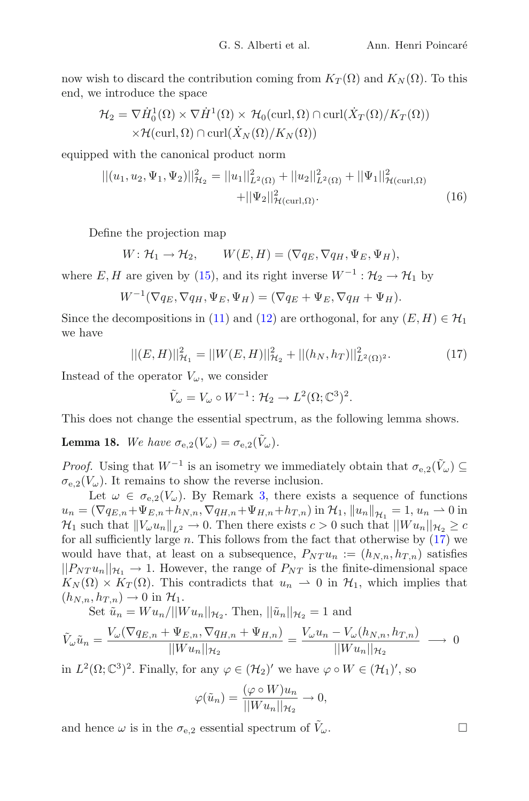now wish to discard the contribution coming from  $K_T(\Omega)$  and  $K_N(\Omega)$ . To this end, we introduce the space

$$
\mathcal{H}_2 = \nabla \dot{H}_0^1(\Omega) \times \nabla \dot{H}^1(\Omega) \times \mathcal{H}_0(\text{curl}, \Omega) \cap \text{curl}(\dot{X}_T(\Omega)/K_T(\Omega))
$$
  
 
$$
\times \mathcal{H}(\text{curl}, \Omega) \cap \text{curl}(\dot{X}_N(\Omega)/K_N(\Omega))
$$

equipped with the canonical product norm

<span id="page-11-2"></span>
$$
||(u_1, u_2, \Psi_1, \Psi_2)||_{\mathcal{H}_2}^2 = ||u_1||_{L^2(\Omega)}^2 + ||u_2||_{L^2(\Omega)}^2 + ||\Psi_1||_{\mathcal{H}(\text{curl}, \Omega)}^2 + ||\Psi_2||_{\mathcal{H}(\text{curl}, \Omega)}^2.
$$
\n(16)

Define the projection map

$$
W: \mathcal{H}_1 \to \mathcal{H}_2, \qquad W(E, H) = (\nabla q_E, \nabla q_H, \Psi_E, \Psi_H),
$$

where E, H are given by [\(15\)](#page-10-2), and its right inverse  $W^{-1}$  :  $\mathcal{H}_2 \to \mathcal{H}_1$  by

$$
W^{-1}(\nabla q_E, \nabla q_H, \Psi_E, \Psi_H) = (\nabla q_E + \Psi_E, \nabla q_H + \Psi_H).
$$

Since the decompositions in [\(11\)](#page-8-0) and [\(12\)](#page-9-4) are orthogonal, for any  $(E,H) \in \mathcal{H}_1$ we have

<span id="page-11-0"></span>
$$
||(E, H)||_{\mathcal{H}_1}^2 = ||W(E, H)||_{\mathcal{H}_2}^2 + ||(h_N, h_T)||_{L^2(\Omega)^2}^2.
$$
 (17)

Instead of the operator  $V_\omega$ , we consider

$$
\tilde{V}_{\omega} = V_{\omega} \circ W^{-1} \colon \mathcal{H}_2 \to L^2(\Omega; \mathbb{C}^3)^2.
$$

This does not change the essential spectrum, as the following lemma shows.

<span id="page-11-1"></span>**Lemma 18.** *We have*  $\sigma_{e,2}(V_\omega) = \sigma_{e,2}(\tilde{V}_\omega)$ .

*Proof.* Using that  $W^{-1}$  is an isometry we immediately obtain that  $\sigma_{e,2}(\tilde{V}_\omega) \subseteq$  $\sigma_{e,2}(V_\omega)$ . It remains to show the reverse inclusion.

Let  $\omega \in \sigma_{e,2}(V_{\omega})$ . By Remark [3,](#page-3-1) there exists a sequence of functions  $u_n = (\nabla q_{E,n} + \Psi_{E,n} + h_{N,n}, \nabla q_{H,n} + \Psi_{H,n} + h_{T,n})$  in  $\mathcal{H}_1$ ,  $||u_n||_{\mathcal{H}_1} = 1$ ,  $u_n \to 0$  in  $\mathcal{H}_1$  such that  $||V_\omega u_n||_{L^2} \to 0$ . Then there exists  $c > 0$  such that  $||W u_n||_{\mathcal{H}_2} \geq c$ for all sufficiently large  $n$ . This follows from the fact that otherwise by  $(17)$  we would have that, at least on a subsequence,  $P_{NT} u_n := (h_{N,n}, h_{T,n})$  satisfies  $||P_{NT} u_n||_{\mathcal{H}_1} \rightarrow 1$ . However, the range of  $P_{NT}$  is the finite-dimensional space  $K_N(\Omega) \times K_T(\Omega)$ . This contradicts that  $u_n \to 0$  in  $\mathcal{H}_1$ , which implies that  $(h_{N,n}, h_{T,n}) \rightarrow 0$  in  $\mathcal{H}_1$ .

Set  $\tilde{u}_n = W u_n / ||W u_n||_{\mathcal{H}_2}$ . Then,  $||\tilde{u}_n||_{\mathcal{H}_2} = 1$  and

$$
\tilde{V}_{\omega}\tilde{u}_n = \frac{V_{\omega}(\nabla q_{E,n} + \Psi_{E,n}, \nabla q_{H,n} + \Psi_{H,n})}{\|W u_n\|_{\mathcal{H}_2}} = \frac{V_{\omega}u_n - V_{\omega}(h_{N,n}, h_{T,n})}{\|W u_n\|_{\mathcal{H}_2}} \longrightarrow 0
$$

in  $L^2(\Omega; \mathbb{C}^3)^2$ . Finally, for any  $\varphi \in (\mathcal{H}_2)'$  we have  $\varphi \circ W \in (\mathcal{H}_1)'$ , so

$$
\varphi(\tilde{u}_n) = \frac{(\varphi \circ W)u_n}{\|Wu_n\|_{\mathcal{H}_2}} \to 0,
$$

and hence  $\omega$  is in the  $\sigma_{e,2}$  essential spectrum of  $\tilde{V}_{\omega}$ .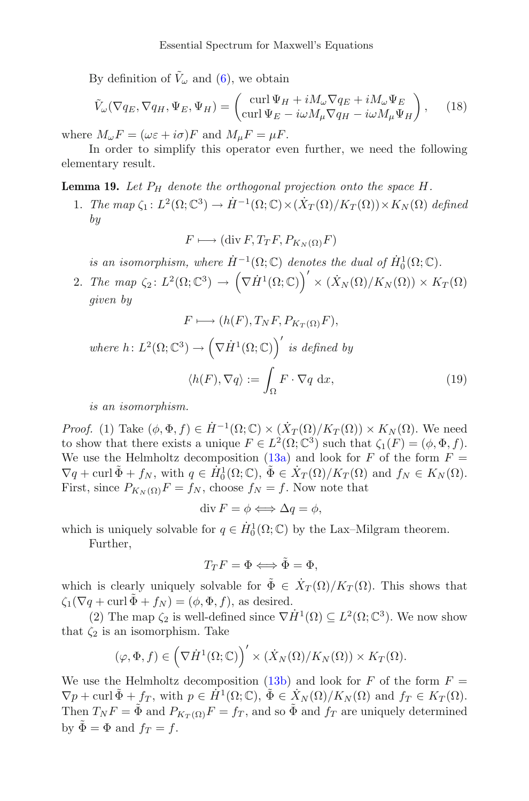By definition of  $\tilde{V}_{\omega}$  and [\(6\)](#page-2-3), we obtain

<span id="page-12-1"></span>
$$
\tilde{V}_{\omega}(\nabla q_E, \nabla q_H, \Psi_E, \Psi_H) = \begin{pmatrix} \operatorname{curl} \Psi_H + iM_{\omega} \nabla q_E + iM_{\omega} \Psi_E \\ \operatorname{curl} \Psi_E - i\omega M_{\mu} \nabla q_H - i\omega M_{\mu} \Psi_H \end{pmatrix},\tag{18}
$$

where  $M_{\omega}F = (\omega \varepsilon + i \sigma)F$  and  $M_{\mu}F = \mu F$ .

In order to simplify this operator even further, we need the following elementary result.

<span id="page-12-0"></span>**Lemma 19.** Let  $P_H$  denote the orthogonal projection onto the space  $H$ .

1. *The map*  $\zeta_1: L^2(\Omega; \mathbb{C}^3) \to \dot{H}^{-1}(\Omega; \mathbb{C}) \times (\dot{X}_T(\Omega)/K_T(\Omega)) \times K_N(\Omega)$  *defined by*

$$
F \longmapsto (\text{div } F, T_T F, P_{K_N(\Omega)} F)
$$

*is an isomorphism, where*  $\dot{H}^{-1}(\Omega; \mathbb{C})$  *denotes the dual of*  $\dot{H}_0^1(\Omega; \mathbb{C})$ *.* 

2. *The map*  $\zeta_2: L^2(\Omega; \mathbb{C}^3) \to (\nabla \dot{H}^1(\Omega; \mathbb{C}))' \times (\dot{X}_N(\Omega)/K_N(\Omega)) \times K_T(\Omega)$ *given by*

$$
F \longmapsto (h(F), T_N F, P_{K_T(\Omega)} F),
$$
  
where  $h: L^2(\Omega; \mathbb{C}^3) \to (\nabla \dot{H}^1(\Omega; \mathbb{C}))'$  is defined by  

$$
\langle h(F), \nabla q \rangle := \int_{\Omega} F \cdot \nabla q \, dx,
$$
 (19)

<span id="page-12-2"></span>*is an isomorphism.*

*Proof.* (1) Take  $(\phi, \Phi, f) \in \dot{H}^{-1}(\Omega; \mathbb{C}) \times (\dot{X}_T(\Omega)/K_T(\Omega)) \times K_N(\Omega)$ . We need to show that there exists a unique  $F \in L^2(\Omega; \mathbb{C}^3)$  such that  $\zeta_1(F)=(\phi, \Phi, f)$ . We use the Helmholtz decomposition [\(13a\)](#page-10-1) and look for F of the form  $F =$  $\nabla q + \text{curl } \tilde{\Phi} + f_N$ , with  $q \in \dot{H}^1_0(\Omega; \mathbb{C}), \ \tilde{\Phi} \in \dot{X}_T(\Omega)/K_T(\Omega)$  and  $f_N \in K_N(\Omega)$ . First, since  $P_{K_N(\Omega)}F = f_N$ , choose  $f_N = f$ . Now note that

$$
\operatorname{div} F = \phi \Longleftrightarrow \Delta q = \phi,
$$

which is uniquely solvable for  $q \in \dot{H}^1_0(\Omega; \mathbb{C})$  by the Lax–Milgram theorem.

Further,

$$
T_T F = \Phi \Longleftrightarrow \tilde{\Phi} = \Phi,
$$

which is clearly uniquely solvable for  $\tilde{\Phi} \in X_T(\Omega)/K_T(\Omega)$ . This shows that  $\zeta_1(\nabla q + \text{curl }\tilde{\Phi} + f_N) = (\phi, \Phi, f)$ , as desired.

(2) The map  $\zeta_2$  is well-defined since  $\nabla \dot{H}^1(\Omega) \subseteq L^2(\Omega; \mathbb{C}^3)$ . We now show that  $\zeta_2$  is an isomorphism. Take

$$
(\varphi, \Phi, f) \in (\nabla \dot{H}^1(\Omega; \mathbb{C}))' \times (\dot{X}_N(\Omega)/K_N(\Omega)) \times K_T(\Omega).
$$

We use the Helmholtz decomposition [\(13b\)](#page-10-0) and look for F of the form  $F =$  $\nabla p + \text{curl } \tilde{\Phi} + f_T$ , with  $p \in H^1(\Omega; \mathbb{C}), \tilde{\Phi} \in X_N(\Omega)/K_N(\Omega)$  and  $f_T \in K_T(\Omega)$ . Then  $T_N F = \tilde{\Phi}$  and  $P_{K_T(\Omega)} F = f_T$ , and so  $\tilde{\Phi}$  and  $f_T$  are uniquely determined by  $\tilde{\Phi} = \Phi$  and  $f_T = f$ .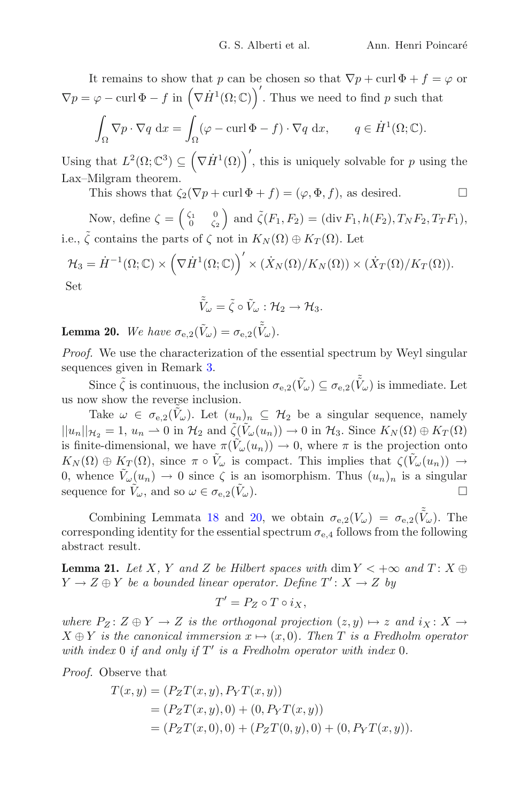It remains to show that p can be chosen so that  $\nabla p + \text{curl } \Phi + f = \varphi$  or  $\nabla p = \varphi - \text{curl }\Phi - f$  in  $(\nabla \dot{H}^1(\Omega; \mathbb{C}))'$ . Thus we need to find p such that  $\overline{\phantom{a}}$  $\int_{\Omega} \nabla p \cdot \nabla q \, \, \mathrm{d}x = \int$  $\int_{\Omega} (\varphi - \operatorname{curl} \Phi - f) \cdot \nabla q \, dx, \qquad q \in \dot{H}^1(\Omega; \mathbb{C}).$ 

Using that  $L^2(\Omega; \mathbb{C}^3) \subseteq (\nabla \dot{H}^1(\Omega))'$ , this is uniquely solvable for p using the Lax–Milgram theorem.

This shows that  $\zeta_2(\nabla p + \text{curl } \Phi + f) = (\varphi, \Phi, f)$ , as desired.  $\Box$ 

Now, define  $\zeta = \begin{pmatrix} \zeta_1 & 0 \\ 0 & \zeta_2 \end{pmatrix}$  and  $\tilde{\zeta}(F_1, F_2) = (\text{div } F_1, h(F_2), T_N F_2, T_T F_1)$ , i.e.,  $\tilde{\zeta}$  contains the parts of  $\zeta$  not in  $K_N(\Omega) \oplus K_T(\Omega)$ . Let

$$
\mathcal{H}_3 = \dot{H}^{-1}(\Omega; \mathbb{C}) \times (\nabla \dot{H}^1(\Omega; \mathbb{C}))' \times (\dot{X}_N(\Omega)/K_N(\Omega)) \times (\dot{X}_T(\Omega)/K_T(\Omega)).
$$
  
Set

$$
\tilde{\tilde{V}}_{\omega}=\tilde{\zeta}\circ\tilde{V}_{\omega}:\mathcal{H}_2\to\mathcal{H}_3.
$$

<span id="page-13-0"></span>**Lemma 20.** We have  $\sigma_{e,2}(\tilde{V}_\omega) = \sigma_{e,2}(\tilde{\tilde{V}}_\omega)$ .

*Proof.* We use the characterization of the essential spectrum by Weyl singular sequences given in Remark [3.](#page-3-1)

Since  $\tilde{\zeta}$  is continuous, the inclusion  $\sigma_{e,2}(\tilde{V}_\omega) \subseteq \sigma_{e,2}(\tilde{V}_\omega)$  is immediate. Let us now show the reverse inclusion.

Take  $\omega \in \sigma_{e,2}(\tilde{V}_\omega)$ . Let  $(u_n)_n \subseteq \mathcal{H}_2$  be a singular sequence, namely  $||u_n||_{\mathcal{H}_2} = 1, u_n \rightharpoonup 0$  in  $\mathcal{H}_2$  and  $\tilde{\zeta}(\tilde{V}_\omega(u_n)) \to 0$  in  $\mathcal{H}_3$ . Since  $K_N(\Omega) \oplus K_T(\Omega)$ is finite-dimensional, we have  $\pi(\tilde{V}_{\omega}(u_n)) \to 0$ , where  $\pi$  is the projection onto  $K_N(\Omega) \oplus K_T(\Omega)$ , since  $\pi \circ \tilde{V}_\omega$  is compact. This implies that  $\zeta(\tilde{V}_\omega(u_n)) \to$ 0, whence  $\tilde{V}_{\omega}(u_n) \to 0$  since  $\zeta$  is an isomorphism. Thus  $(u_n)_n$  is a singular sequence for  $\tilde{V}_{\omega}$ , and so  $\omega \in \sigma_{\omega} \circ (\tilde{V}_{\omega})$ . sequence for  $V_{\omega}$ , and so  $\omega \in \sigma_{e,2}(\tilde{V}_{\omega})$ .

Combining Lemmata [18](#page-11-1) and [20,](#page-13-0) we obtain  $\sigma_{e,2}(V_\omega) = \sigma_{e,2}(\tilde{V}_\omega)$ . The corresponding identity for the essential spectrum  $\sigma_{e,4}$  follows from the following abstract result.

<span id="page-13-1"></span>**Lemma 21.** *Let* X, Y and Z be Hilbert spaces with dim  $Y < +\infty$  and  $T: X \oplus$  $Y \to Z \oplus Y$  be a bounded linear operator. Define  $T' \colon X \to Z$  by

 $T' = P_Z \circ T \circ i_X,$ 

*where*  $P_Z: Z \oplus Y \to Z$  *is the orthogonal projection*  $(z, y) \mapsto z$  *and*  $i_X: X \to Y$  $X \oplus Y$  *is the canonical immersion*  $x \mapsto (x, 0)$ *. Then* T *is a Fredholm operator* with index 0 if and only if  $T'$  is a Fredholm operator with index 0.

*Proof.* Observe that

$$
T(x,y) = (P_Z T(x,y), P_Y T(x,y))
$$
  
=  $(P_Z T(x,y), 0) + (0, P_Y T(x,y))$   
=  $(P_Z T(x,0), 0) + (P_Z T(0,y), 0) + (0, P_Y T(x,y)).$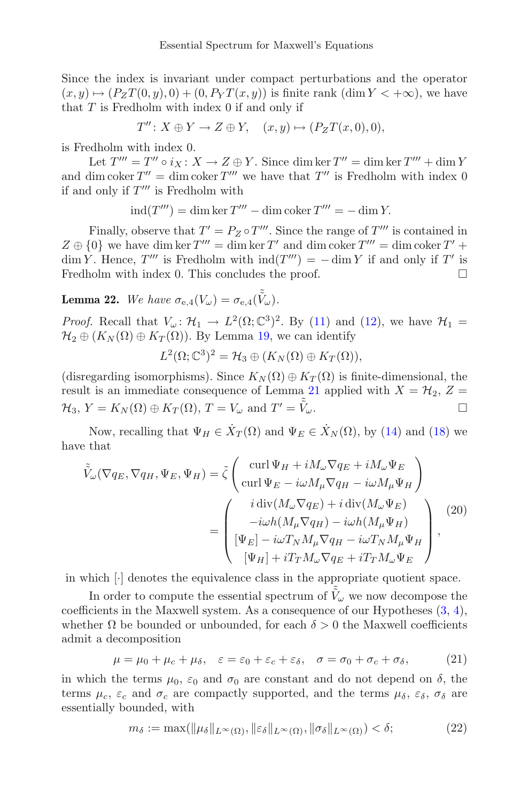Since the index is invariant under compact perturbations and the operator  $(x, y) \mapsto (P_Z T(0, y), 0) + (0, P_Y T(x, y))$  is finite rank  $(\dim Y < +\infty)$ , we have that  $T$  is Fredholm with index  $0$  if and only if

$$
T''\colon X\oplus Y\to Z\oplus Y,\quad (x,y)\mapsto (P_ZT(x,0),0),
$$

is Fredholm with index 0.

Let  $T''' = T'' \circ i_X : X \to Z \oplus Y$ . Since dim ker  $T'' = \dim \ker T''' + \dim Y$ and dim coker  $T'' = \dim \operatorname{coker} T'''$  we have that  $T''$  is Fredholm with index 0 if and only if  $T'''$  is Fredholm with

 $\text{ind}(T''') = \dim \ker T''' - \dim \text{coker } T''' = -\dim Y.$ 

Finally, observe that  $T' = P_Z \circ T'''$ . Since the range of  $T''$  is contained in  $Z \oplus \{0\}$  we have dim ker  $T''' = \dim \ker T'$  and  $\dim \operatorname{coker} T''' = \dim \operatorname{coker} T' +$  $\dim Y$ . Hence, T''' is Fredholm with  $\text{ind}(T''') = -\dim Y$  if and only if T' is Fredholm with index 0. This concludes the proof.  $\Box$ 

<span id="page-14-3"></span>**Lemma 22.** We have  $\sigma_{e,4}(V_\omega) = \sigma_{e,4}(\tilde{\tilde{V}}_\omega)$ .

*Proof.* Recall that  $V_\omega: \mathcal{H}_1 \to L^2(\Omega; \mathbb{C}^3)^2$ . By [\(11\)](#page-8-0) and [\(12\)](#page-9-4), we have  $\mathcal{H}_1 =$  $\mathcal{H}_2 \oplus (K_N(\Omega) \oplus K_T(\Omega))$ . By Lemma [19,](#page-12-0) we can identify

$$
L^2(\Omega; \mathbb{C}^3)^2 = \mathcal{H}_3 \oplus (K_N(\Omega) \oplus K_T(\Omega)),
$$

(disregarding isomorphisms). Since  $K_N(\Omega) \oplus K_T(\Omega)$  is finite-dimensional, the result is an immediate consequence of Lemma [21](#page-13-1) applied with  $X = H_2$ ,  $Z =$  $\mathcal{H}_3$ ,  $Y = K_N(\Omega) \oplus K_T(\Omega)$ ,  $T = V_\omega$  and  $T' = V_\omega$  $\tilde{\tilde{V}}_{\omega}$ .

Now, recalling that  $\Psi_H \in \dot{X}_T(\Omega)$  and  $\Psi_E \in \dot{X}_N(\Omega)$ , by [\(14\)](#page-10-3) and [\(18\)](#page-12-1) we have that

<span id="page-14-0"></span>
$$
\tilde{V}_{\omega}(\nabla q_E, \nabla q_H, \Psi_E, \Psi_H) = \tilde{\zeta} \begin{pmatrix} \operatorname{curl} \Psi_H + iM_{\omega} \nabla q_E + iM_{\omega} \Psi_E \\ \operatorname{curl} \Psi_E - i\omega M_{\mu} \nabla q_H - i\omega M_{\mu} \Psi_H \end{pmatrix} \n= \begin{pmatrix} i \operatorname{div}(M_{\omega} \nabla q_E) + i \operatorname{div}(M_{\omega} \Psi_E) \\ -i\omega h (M_{\mu} \nabla q_H) - i\omega h (M_{\mu} \Psi_H) \\ [\Psi_E] - i\omega T_N M_{\mu} \nabla q_H - i\omega T_N M_{\mu} \Psi_H \\ [\Psi_H] + iT_T M_{\omega} \nabla q_E + iT_T M_{\omega} \Psi_E \end{pmatrix},
$$
\n(20)

in which [·] denotes the equivalence class in the appropriate quotient space.

In order to compute the essential spectrum of  $\tilde{\tilde{V}}_\omega$  we now decompose the coefficients in the Maxwell system. As a consequence of our Hypotheses [\(3,](#page-2-1) [4\)](#page-2-2), whether  $\Omega$  be bounded or unbounded, for each  $\delta > 0$  the Maxwell coefficients admit a decomposition

<span id="page-14-1"></span>
$$
\mu = \mu_0 + \mu_c + \mu_\delta, \quad \varepsilon = \varepsilon_0 + \varepsilon_c + \varepsilon_\delta, \quad \sigma = \sigma_0 + \sigma_c + \sigma_\delta,\tag{21}
$$

in which the terms  $\mu_0$ ,  $\varepsilon_0$  and  $\sigma_0$  are constant and do not depend on  $\delta$ , the terms  $\mu_c$ ,  $\varepsilon_c$  and  $\sigma_c$  are compactly supported, and the terms  $\mu_{\delta}$ ,  $\varepsilon_{\delta}$ ,  $\sigma_{\delta}$  are essentially bounded, with

<span id="page-14-2"></span>
$$
m_{\delta} := \max(\|\mu_{\delta}\|_{L^{\infty}(\Omega)}, \|\varepsilon_{\delta}\|_{L^{\infty}(\Omega)}, \|\sigma_{\delta}\|_{L^{\infty}(\Omega)}) < \delta; \tag{22}
$$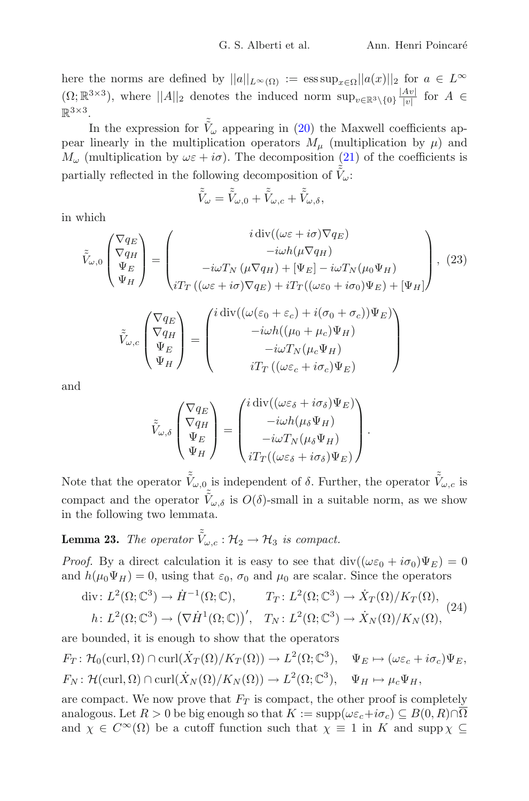here the norms are defined by  $||a||_{L^{\infty}(\Omega)} := \operatorname{ess} \sup_{x \in \Omega} ||a(x)||_2$  for  $a \in L^{\infty}$  $(\Omega;\mathbb{R}^{3\times3})$ , where  $||A||_2$  denotes the induced norm  $\sup_{v\in\mathbb{R}^3\setminus\{0\}}\frac{|Av|}{|v|}$  for  $A \in$  $\mathbb{R}^{3\times 3}$ 

In the expression for  $\tilde{V}_{\omega}$  appearing in [\(20\)](#page-14-0) the Maxwell coefficients appear linearly in the multiplication operators  $M_{\mu}$  (multiplication by  $\mu$ ) and  $M_{\omega}$  (multiplication by  $\omega \varepsilon + i\sigma$ ). The decomposition [\(21\)](#page-14-1) of the coefficients is partially reflected in the following decomposition of  $\tilde{\tilde{V}}_{\omega}$ :

$$
\tilde{\tilde{V}}_\omega=\tilde{\tilde{V}}_{\omega,0}+\tilde{\tilde{V}}_{\omega,c}+\tilde{\tilde{V}}_{\omega,\delta},
$$

in which

<span id="page-15-1"></span>
$$
\tilde{V}_{\omega,0}\begin{pmatrix}\nabla q_E \\
abla q_H \\
\Psi_E \\
\Psi_H\n\end{pmatrix} = \begin{pmatrix}\ni \operatorname{div}((\omega \varepsilon + i\sigma) \nabla q_E) \\
-i\omega h(\mu \nabla q_H) \\
-i\omega T_N (\mu \nabla q_H) + [\Psi_E] - i\omega T_N (\mu_0 \Psi_H) \\
i T_T ((\omega \varepsilon + i\sigma) \nabla q_E) + i T_T ((\omega \varepsilon_0 + i\sigma_0) \Psi_E) + [\Psi_H]\n\end{pmatrix}, (23)
$$

$$
\tilde{\tilde{V}}_{\omega,c} \begin{pmatrix} \nabla q_E \\ \nabla q_H \\ \Psi_E \\ \Psi_H \end{pmatrix} = \begin{pmatrix} i \operatorname{div}((\omega(\varepsilon_0 + \varepsilon_c) + i(\sigma_0 + \sigma_c))\Psi_E) \\ -i\omega h((\mu_0 + \mu_c)\Psi_H) \\ -i\omega T_N(\mu_c\Psi_H) \\ i T_T((\omega\varepsilon_c + i\sigma_c)\Psi_E) \end{pmatrix}
$$

and

$$
\tilde{V}_{\omega,\delta}\begin{pmatrix} \nabla q_E \\ \nabla q_H \\ \Psi_E \\ \Psi_H \end{pmatrix} = \begin{pmatrix} i \operatorname{div}((\omega \varepsilon_{\delta} + i \sigma_{\delta}) \Psi_E) \\ -i \omega h(\mu_{\delta} \Psi_H) \\ -i \omega T_N(\mu_{\delta} \Psi_H) \\ i T_T((\omega \varepsilon_{\delta} + i \sigma_{\delta}) \Psi_E) \end{pmatrix}.
$$

Note that the operator  $\tilde{\tilde{V}}_{\omega,0}$  is independent of  $\delta$ . Further, the operator  $\tilde{\tilde{V}}_{\omega,c}$  is compact and the operator  $\tilde{\tilde{V}}_{\omega,\delta}$  is  $O(\delta)$ -small in a suitable norm, as we show in the following two lemmata.

**Lemma 23.** *The operator*  $\tilde{V}_{\omega,c} : \mathcal{H}_2 \to \mathcal{H}_3$  *is compact.* 

*Proof.* By a direct calculation it is easy to see that  $\text{div}((\omega \varepsilon_0 + i \sigma_0) \Psi_E) = 0$ and  $h(\mu_0 \Psi_H) = 0$ , using that  $\varepsilon_0$ ,  $\sigma_0$  and  $\mu_0$  are scalar. Since the operators

<span id="page-15-0"></span>
$$
\text{div}\colon L^2(\Omega; \mathbb{C}^3) \to \dot{H}^{-1}(\Omega; \mathbb{C}), \qquad T_T \colon L^2(\Omega; \mathbb{C}^3) \to \dot{X}_T(\Omega)/K_T(\Omega),
$$
\n
$$
h \colon L^2(\Omega; \mathbb{C}^3) \to \left(\nabla \dot{H}^1(\Omega; \mathbb{C})\right)', \quad T_N \colon L^2(\Omega; \mathbb{C}^3) \to \dot{X}_N(\Omega)/K_N(\Omega),
$$
\n(24)

are bounded, it is enough to show that the operators

$$
F_T: \mathcal{H}_0(\text{curl}, \Omega) \cap \text{curl}(\dot{X}_T(\Omega)/K_T(\Omega)) \to L^2(\Omega; \mathbb{C}^3), \quad \Psi_E \mapsto (\omega \varepsilon_c + i \sigma_c) \Psi_E,
$$
  

$$
F_N: \mathcal{H}(\text{curl}, \Omega) \cap \text{curl}(\dot{X}_N(\Omega)/K_N(\Omega)) \to L^2(\Omega; \mathbb{C}^3), \quad \Psi_H \mapsto \mu_c \Psi_H,
$$

are compact. We now prove that  $F_T$  is compact, the other proof is completely analogous. Let  $R > 0$  be big enough so that  $K := \text{supp}(\omega \varepsilon_c + i \sigma_c) \subseteq B(0, R) \cap \overline{\Omega}$ and  $\chi \in C^{\infty}(\Omega)$  be a cutoff function such that  $\chi \equiv 1$  in K and supp  $\chi \subseteq$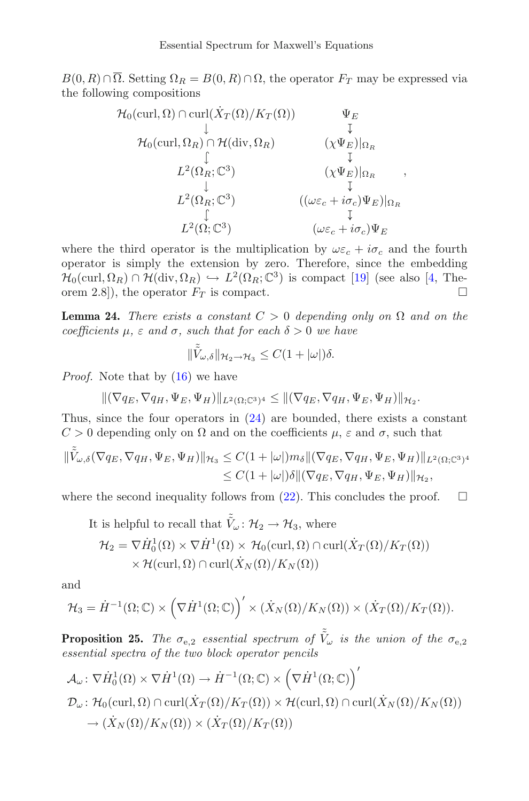$B(0, R) \cap \overline{\Omega}$ . Setting  $\Omega_R = B(0, R) \cap \Omega$ , the operator  $F_T$  may be expressed via the following compositions

$$
\mathcal{H}_0(\text{curl}, \Omega) \cap \text{curl}(\dot{X}_T(\Omega)/K_T(\Omega)) \qquad \Psi_E
$$
\n
$$
\downarrow \qquad \qquad \downarrow \qquad \qquad \downarrow
$$
\n
$$
\mathcal{H}_0(\text{curl}, \Omega_R) \cap \mathcal{H}(\text{div}, \Omega_R) \qquad (\chi \Psi_E)|_{\Omega_R}
$$
\n
$$
\downarrow \qquad \qquad \downarrow
$$
\n
$$
L^2(\Omega_R; \mathbb{C}^3) \qquad \qquad (\chi \Psi_E)|_{\Omega_R}
$$
\n
$$
\downarrow \qquad \qquad \downarrow
$$
\n
$$
L^2(\Omega_R; \mathbb{C}^3) \qquad \qquad (\omega \varepsilon_c + i \sigma_c) \Psi_E)|_{\Omega_R}
$$
\n
$$
\downarrow
$$
\n
$$
L^2(\Omega; \mathbb{C}^3) \qquad \qquad (\omega \varepsilon_c + i \sigma_c) \Psi_E
$$

,

where the third operator is the multiplication by  $\omega \varepsilon_c + i \sigma_c$  and the fourth operator is simply the extension by zero. Therefore, since the embedding  $\mathcal{H}_0(\text{curl}, \Omega_R) \cap \mathcal{H}(\text{div}, \Omega_R) \hookrightarrow L^2(\Omega_R; \mathbb{C}^3)$  is compact [\[19](#page-27-7)] (see also [\[4,](#page-26-7) Theorem 2.8]), the operator  $F_T$  is compact. orem 2.8]), the operator  $F_T$  is compact.

<span id="page-16-0"></span>**Lemma 24.** *There exists a constant*  $C > 0$  *depending only on*  $\Omega$  *and on the coefficients*  $\mu$ *, ε and σ, such that for each*  $\delta > 0$  *we have* 

$$
\|\tilde{\tilde{V}}_{\omega,\delta}\|_{\mathcal{H}_2\to\mathcal{H}_3}\leq C(1+|\omega|)\delta.
$$

*Proof.* Note that by  $(16)$  we have

 $\|(\nabla q_E, \nabla q_H, \Psi_E, \Psi_H)\|_{L^2(\Omega;\mathbb{C}^3)^4} \leq \|(\nabla q_E, \nabla q_H, \Psi_E, \Psi_H)\|_{\mathcal{H}_2}.$ 

Thus, since the four operators in [\(24\)](#page-15-0) are bounded, there exists a constant  $C > 0$  depending only on  $\Omega$  and on the coefficients  $\mu$ ,  $\varepsilon$  and  $\sigma$ , such that

$$
\begin{aligned} \|\tilde{\tilde{V}}_{\omega,\delta}(\nabla q_E, \nabla q_H, \Psi_E, \Psi_H)\|_{\mathcal{H}_3} &\leq C(1+|\omega|)m_{\delta} \|(\nabla q_E, \nabla q_H, \Psi_E, \Psi_H)\|_{L^2(\Omega; \mathbb{C}^3)^4} \\ &\leq C(1+|\omega|)\delta \|(\nabla q_E, \nabla q_H, \Psi_E, \Psi_H)\|_{\mathcal{H}_2}, \end{aligned}
$$

where the second inequality follows from [\(22\)](#page-14-2). This concludes the proof.  $\Box$ 

It is helpful to recall that 
$$
\tilde{V}_{\omega} : \mathcal{H}_2 \to \mathcal{H}_3
$$
, where  
\n
$$
\mathcal{H}_2 = \nabla \dot{H}_0^1(\Omega) \times \nabla \dot{H}^1(\Omega) \times \mathcal{H}_0(\text{curl}, \Omega) \cap \text{curl}(\dot{X}_T(\Omega)/K_T(\Omega))
$$
\n
$$
\times \mathcal{H}(\text{curl}, \Omega) \cap \text{curl}(\dot{X}_N(\Omega)/K_N(\Omega))
$$

and

$$
\mathcal{H}_3 = \dot{H}^{-1}(\Omega; \mathbb{C}) \times (\nabla \dot{H}^1(\Omega; \mathbb{C}))' \times (\dot{X}_N(\Omega)/K_N(\Omega)) \times (\dot{X}_T(\Omega)/K_T(\Omega)).
$$

<span id="page-16-1"></span>**Proposition 25.** *The*  $\sigma_{e,2}$  *essential spectrum of*  $\tilde{V}_{\omega}$  *is the union of the*  $\sigma_{e,2}$ *essential spectra of the two block operator pencils*

$$
\mathcal{A}_{\omega} \colon \nabla \dot{H}^{1}_{0}(\Omega) \times \nabla \dot{H}^{1}(\Omega) \to \dot{H}^{-1}(\Omega; \mathbb{C}) \times (\nabla \dot{H}^{1}(\Omega; \mathbb{C}))'
$$
  

$$
\mathcal{D}_{\omega} \colon \mathcal{H}_{0}(\text{curl}, \Omega) \cap \text{curl}(\dot{X}_{T}(\Omega)/K_{T}(\Omega)) \times \mathcal{H}(\text{curl}, \Omega) \cap \text{curl}(\dot{X}_{N}(\Omega)/K_{N}(\Omega))
$$

$$
\to (\dot{X}_{N}(\Omega)/K_{N}(\Omega)) \times (\dot{X}_{T}(\Omega)/K_{T}(\Omega))
$$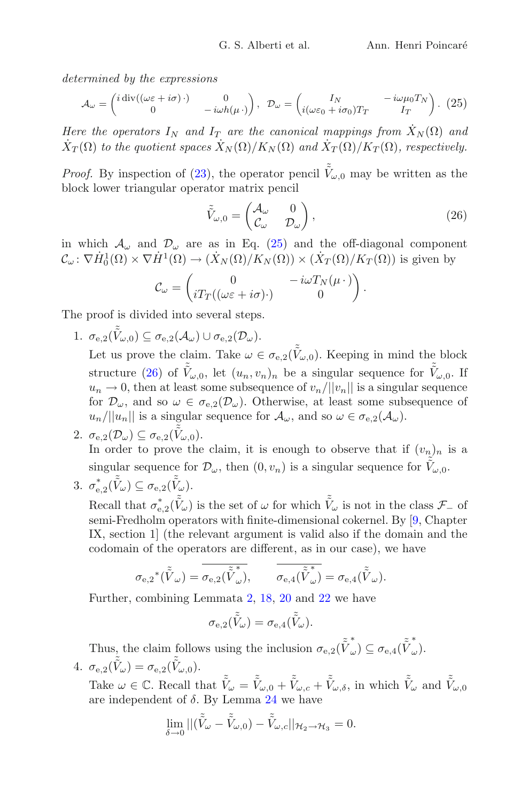*determined by the expressions*

<span id="page-17-0"></span>
$$
\mathcal{A}_{\omega} = \begin{pmatrix} i \operatorname{div}((\omega \varepsilon + i \sigma) \cdot) & 0 \\ 0 & -i \omega h(\mu \cdot) \end{pmatrix}, \quad \mathcal{D}_{\omega} = \begin{pmatrix} I_N & -i \omega \mu_0 T_N \\ i(\omega \varepsilon_0 + i \sigma_0) T_T & I_T \end{pmatrix}.
$$
 (25)

*Here the operators*  $I_N$  *and*  $I_T$  *are the canonical mappings from*  $\dot{X}_N(\Omega)$  *and*  $\dot{X}_T(\Omega)$  *to the quotient spaces*  $\dot{X}_N(\Omega)/K_N(\Omega)$  *and*  $\dot{X}_T(\Omega)/K_T(\Omega)$ *, respectively.* 

*Proof.* By inspection of [\(23\)](#page-15-1), the operator pencil  $\tilde{V}_{\omega,0}$  may be written as the block lower triangular operator matrix pencil

<span id="page-17-1"></span>
$$
\tilde{\tilde{V}}_{\omega,0} = \begin{pmatrix} A_{\omega} & 0 \\ C_{\omega} & \mathcal{D}_{\omega} \end{pmatrix},\tag{26}
$$

.

in which  $\mathcal{A}_{\omega}$  and  $\mathcal{D}_{\omega}$  are as in Eq. [\(25\)](#page-17-0) and the off-diagonal component  $\mathcal{C}_{\omega} \colon \nabla \dot{H}^1_0(\Omega) \times \nabla \dot{H}^1(\Omega) \to (\dot{X}_N(\Omega)/K_N(\Omega)) \times (\dot{X}_T(\Omega)/K_T(\Omega))$  is given by

$$
\mathcal{C}_{\omega} = \begin{pmatrix} 0 & -i\omega T_N(\mu \cdot) \\ i T_T((\omega \varepsilon + i\sigma) \cdot) & 0 \end{pmatrix}
$$

The proof is divided into several steps.

1.  $\sigma_{\mathrm{e},2}(\tilde{\tilde{V}}_{\omega,0}) \subseteq \sigma_{\mathrm{e},2}(\mathcal{A}_{\omega}) \cup \sigma_{\mathrm{e},2}(\mathcal{D}_{\omega}).$ 

Let us prove the claim. Take  $\omega \in \sigma_{e,2}(\tilde{V}_{\omega,0})$ . Keeping in mind the block structure [\(26\)](#page-17-1) of  $\tilde{\tilde{V}}_{\omega,0}$ , let  $(u_n, v_n)_n$  be a singular sequence for  $\tilde{\tilde{V}}_{\omega,0}$ . If  $u_n \to 0$ , then at least some subsequence of  $v_n/||v_n||$  is a singular sequence for  $\mathcal{D}_{\omega}$ , and so  $\omega \in \sigma_{e,2}(\mathcal{D}_{\omega})$ . Otherwise, at least some subsequence of  $u_n/||u_n||$  is a singular sequence for  $\mathcal{A}_{\omega}$ , and so  $\omega \in \sigma_{e,2}(\mathcal{A}_{\omega})$ .

- 2.  $\sigma_{\mathbf{e},2}(\mathcal{D}_{\omega}) \subseteq \sigma_{\mathbf{e},2}(\tilde{\tilde{V}}_{\omega,0}).$ In order to prove the claim, it is enough to observe that if  $(v_n)_n$  is a singular sequence for  $\tilde{\mathcal{D}}_{\omega}$ , then  $(0, v_n)$  is a singular sequence for  $\tilde{\tilde{V}}_{\omega,0}$ .
- 3.  $\sigma_{\mathbf{e},2}^*(\tilde{\tilde{V}}_\omega) \subseteq \sigma_{\mathbf{e},2}(\tilde{\tilde{V}}_\omega)$ .

Recall that  $\sigma_{e,2}^*(\tilde{V}_\omega)$  is the set of  $\omega$  for which  $\tilde{V}_\omega$  is not in the class  $\mathcal{F}_-$  of semi-Fredholm operators with finite-dimensional cokernel. By [\[9,](#page-26-6) Chapter IX, section 1] (the relevant argument is valid also if the domain and the codomain of the operators are different, as in our case), we have

$$
\sigma_{\mathbf{e},2}{}^*(\tilde{\tilde{V}}_\omega) = \overline{\sigma_{\mathbf{e},2}(\tilde{\tilde{V}}_\omega^*)}, \qquad \overline{\sigma_{\mathbf{e},4}(\tilde{\tilde{V}}_\omega^*)} = \sigma_{\mathbf{e},4}(\tilde{\tilde{V}}_\omega).
$$

Further, combining Lemmata [2,](#page-3-0) [18,](#page-11-1) [20](#page-13-0) and [22](#page-14-3) we have

$$
\sigma_{\mathrm{e},2}(\tilde{\tilde{V}}_{\omega}) = \sigma_{\mathrm{e},4}(\tilde{\tilde{V}}_{\omega}).
$$

Thus, the claim follows using the inclusion  $\sigma_{e,2}(\tilde{\tilde{V}}^*_{\omega}) \subseteq \sigma_{e,4}(\tilde{\tilde{V}}^*_{\omega}).$ 4.  $\sigma_{\text{e},2}(\tilde{\tilde{V}}_{\omega}) = \sigma_{\text{e},2}(\tilde{\tilde{V}}_{\omega,0}).$ 

Take  $\omega \in \mathbb{C}$ . Recall that  $\tilde{\tilde{V}}_{\omega} = \tilde{\tilde{V}}_{\omega,0} + \tilde{\tilde{V}}_{\omega,c} + \tilde{\tilde{V}}_{\omega,\delta}$ , in which  $\tilde{\tilde{V}}_{\omega}$  and  $\tilde{\tilde{V}}_{\omega,0}$ are independent of  $\delta$ . By Lemma [24](#page-16-0) we have

$$
\lim_{\delta \to 0} ||(\tilde{\tilde{V}}_{\omega} - \tilde{\tilde{V}}_{\omega,0}) - \tilde{\tilde{V}}_{\omega,c}||_{\mathcal{H}_2 \to \mathcal{H}_3} = 0.
$$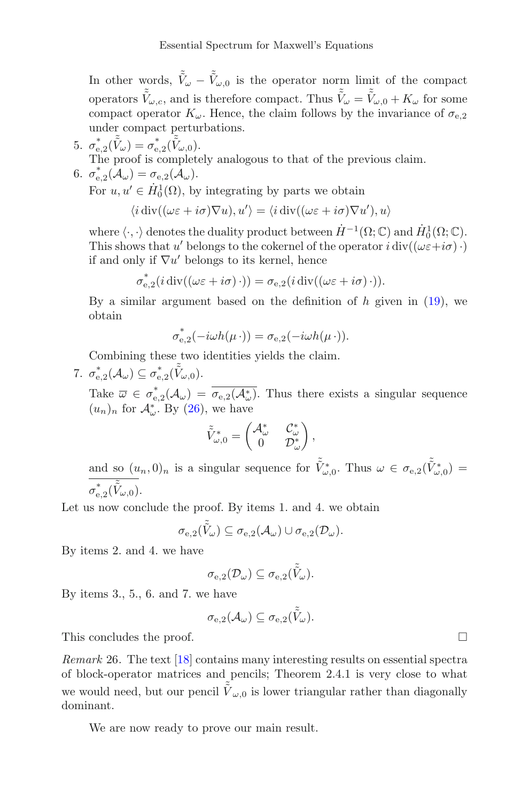In other words,  $\tilde{V}_{\omega} - \tilde{V}_{\omega,0}$  is the operator norm limit of the compact operators  $\tilde{V}_{\omega,c}$ , and is therefore compact. Thus  $\tilde{V}_{\omega} = \tilde{V}_{\omega,0} + K_{\omega}$  for some compact operator  $K_{\omega}$ . Hence, the claim follows by the invariance of  $\sigma_{e,2}$ under compact perturbations.

5.  $\sigma_{e,2}^*(\tilde{\tilde{V}}_{\omega}) = \sigma_{e,2}^*(\tilde{\tilde{V}}_{\omega,0}).$ The proof is completely analogous to that of the previous claim.

6. 
$$
\sigma_{\mathrm{e},2}^*(\mathcal{A}_{\omega}) = \sigma_{\mathrm{e},2}(\mathcal{A}_{\omega}).
$$

For  $u, u' \in \dot{H}_0^1(\Omega)$ , by integrating by parts we obtain

$$
\langle i \operatorname{div}((\omega \varepsilon + i \sigma) \nabla u), u' \rangle = \langle i \operatorname{div}((\omega \varepsilon + i \sigma) \nabla u'), u \rangle
$$

where  $\langle \cdot, \cdot \rangle$  denotes the duality product between  $\dot{H}^{-1}(\Omega; \mathbb{C})$  and  $\dot{H}_0^1(\Omega; \mathbb{C})$ . This shows that u' belongs to the cokernel of the operator  $i \operatorname{div}((\omega \varepsilon + i \sigma) \cdot)$ if and only if  $\nabla u'$  belongs to its kernel, hence

$$
\sigma_{\mathbf{e},2}^*(i \operatorname{div}((\omega \varepsilon + i \sigma) \cdot)) = \sigma_{\mathbf{e},2}(i \operatorname{div}((\omega \varepsilon + i \sigma) \cdot)).
$$

By a similar argument based on the definition of  $h$  given in  $(19)$ , we obtain

$$
\sigma_{\mathrm{e},2}^*(-i\omega h(\mu\,\cdot))=\sigma_{\mathrm{e},2}(-i\omega h(\mu\,\cdot)).
$$

Combining these two identities yields the claim.

7.  $\sigma_{\mathrm{e},2}^*(\mathcal{A}_{\omega}) \subseteq \sigma_{\mathrm{e},2}^*(\tilde{\tilde{V}}_{\omega,0}).$ 

Take  $\overline{\omega} \in \sigma_{e,2}^*(\mathcal{A}_{\omega}) = \overline{\sigma_{e,2}(\mathcal{A}_{\omega}^*)}$ . Thus there exists a singular sequence  $(u_n)_n$  for  $\mathcal{A}_{\omega}^*$ . By [\(26\)](#page-17-1), we have

$$
\tilde{\tilde{V}}_{\omega,0}^* = \begin{pmatrix} \mathcal{A}_{\omega}^* & \mathcal{C}_{\omega}^* \\ 0 & \mathcal{D}_{\omega}^* \end{pmatrix},
$$

and so  $(u_n, 0)_n$  is a singular sequence for  $\tilde{V}^*_{\omega,0}$ . Thus  $\omega \in \sigma_{e,2}(\tilde{V}^*_{\omega,0})$  $\sigma^*_{\mathrm{e},2}(\tilde{\tilde{V}}_{\omega,0}).$ 

Let us now conclude the proof. By items 1. and 4. we obtain

$$
\sigma_{e,2}(\tilde{\tilde{V}}_{\omega}) \subseteq \sigma_{e,2}(\mathcal{A}_{\omega}) \cup \sigma_{e,2}(\mathcal{D}_{\omega}).
$$

By items 2. and 4. we have

$$
\sigma_{\mathrm{e},2}(\mathcal{D}_{\omega}) \subseteq \sigma_{\mathrm{e},2}(\tilde{\tilde{V}}_{\omega}).
$$

By items 3., 5., 6. and 7. we have

$$
\sigma_{\operatorname{e},2}(\mathcal{A}_{\omega})\subseteq \sigma_{\operatorname{e},2}(\tilde{\tilde{V}}_{\omega}).
$$

This concludes the proof.  $\Box$ 

*Remark* 26*.* The text [\[18](#page-27-8)] contains many interesting results on essential spectra of block-operator matrices and pencils; Theorem 2.4.1 is very close to what we would need, but our pencil  $\tilde{\tilde{V}}_{\omega,0}$  is lower triangular rather than diagonally dominant.

We are now ready to prove our main result.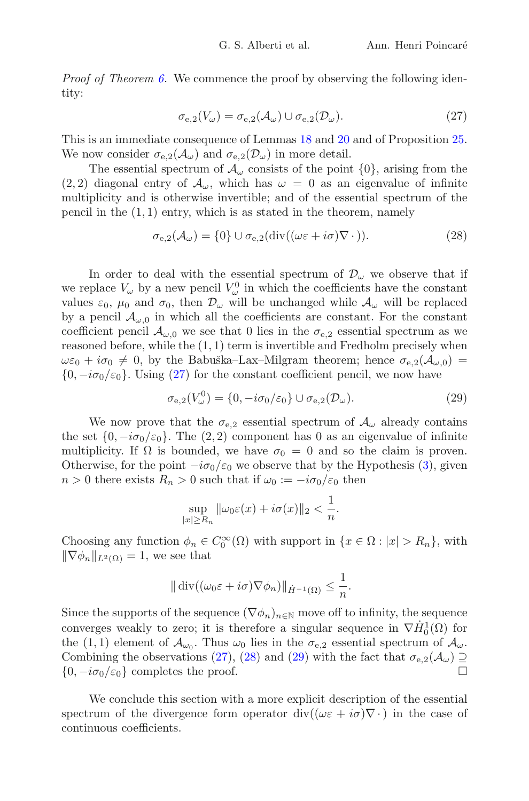*Proof of Theorem [6.](#page-4-0)* We commence the proof by observing the following identity:

<span id="page-19-0"></span>
$$
\sigma_{e,2}(V_{\omega}) = \sigma_{e,2}(\mathcal{A}_{\omega}) \cup \sigma_{e,2}(\mathcal{D}_{\omega}).
$$
\n(27)

This is an immediate consequence of Lemmas [18](#page-11-1) and [20](#page-13-0) and of Proposition [25.](#page-16-1) We now consider  $\sigma_{e,2}(\mathcal{A}_{\omega})$  and  $\sigma_{e,2}(\mathcal{D}_{\omega})$  in more detail.

The essential spectrum of  $\mathcal{A}_{\omega}$  consists of the point  $\{0\}$ , arising from the  $(2, 2)$  diagonal entry of  $\mathcal{A}_{\omega}$ , which has  $\omega = 0$  as an eigenvalue of infinite multiplicity and is otherwise invertible; and of the essential spectrum of the pencil in the  $(1, 1)$  entry, which is as stated in the theorem, namely

<span id="page-19-1"></span>
$$
\sigma_{e,2}(\mathcal{A}_{\omega}) = \{0\} \cup \sigma_{e,2}(\text{div}((\omega \varepsilon + i\sigma)\nabla \cdot)).
$$
\n(28)

In order to deal with the essential spectrum of  $\mathcal{D}_{\omega}$  we observe that if we replace  $V_{\omega}$  by a new pencil  $V_{\omega}^{0}$  in which the coefficients have the constant values  $\varepsilon_0$ ,  $\mu_0$  and  $\sigma_0$ , then  $\mathcal{D}_{\omega}$  will be unchanged while  $\mathcal{A}_{\omega}$  will be replaced by a pencil  $\mathcal{A}_{\omega,0}$  in which all the coefficients are constant. For the constant coefficient pencil  $\mathcal{A}_{\omega,0}$  we see that 0 lies in the  $\sigma_{e,2}$  essential spectrum as we reasoned before, while the  $(1, 1)$  term is invertible and Fredholm precisely when  $\omega \varepsilon_0 + i \sigma_0 \neq 0$ , by the Babuška–Lax–Milgram theorem; hence  $\sigma_{e,2}(\mathcal{A}_{\omega,0})$  ${0, -i\sigma_0/\varepsilon_0}$ . Using [\(27\)](#page-19-0) for the constant coefficient pencil, we now have

<span id="page-19-2"></span>
$$
\sigma_{\mathbf{e},2}(V^0_\omega) = \{0, -i\sigma_0/\varepsilon_0\} \cup \sigma_{\mathbf{e},2}(\mathcal{D}_\omega). \tag{29}
$$

We now prove that the  $\sigma_{e,2}$  essential spectrum of  $\mathcal{A}_{\omega}$  already contains the set  $\{0, -i\sigma_0/\varepsilon_0\}$ . The  $(2, 2)$  component has 0 as an eigenvalue of infinite multiplicity. If  $\Omega$  is bounded, we have  $\sigma_0 = 0$  and so the claim is proven. Otherwise, for the point  $-i\sigma_0/\varepsilon_0$  we observe that by the Hypothesis [\(3\)](#page-2-1), given  $n > 0$  there exists  $R_n > 0$  such that if  $\omega_0 := -i\sigma_0/\varepsilon_0$  then

$$
\sup_{|x|\geq R_n} \|\omega_0 \varepsilon(x) + i\sigma(x)\|_2 < \frac{1}{n}.
$$

Choosing any function  $\phi_n \in C_0^{\infty}(\Omega)$  with support in  $\{x \in \Omega : |x| > R_n\}$ , with  $\|\nabla \phi_n\|_{L^2(\Omega)} = 1$ , we see that

$$
\|\operatorname{div}((\omega_0 \varepsilon + i\sigma)\nabla \phi_n)\|_{\dot{H}^{-1}(\Omega)} \leq \frac{1}{n}.
$$

Since the supports of the sequence  $(\nabla \phi_n)_{n\in\mathbb{N}}$  move off to infinity, the sequence converges weakly to zero; it is therefore a singular sequence in  $\nabla \dot{H}_0^1(\Omega)$  for the (1, 1) element of  $\mathcal{A}_{\omega_0}$ . Thus  $\omega_0$  lies in the  $\sigma_{e,2}$  essential spectrum of  $\mathcal{A}_{\omega}$ . Combining the observations [\(27\)](#page-19-0), [\(28\)](#page-19-1) and [\(29\)](#page-19-2) with the fact that  $\sigma_{e,2}(\mathcal{A}_{\omega}) \supseteq {\{0, -i\sigma_0/\varepsilon_0\}}$  completes the proof  $\{0, -i\sigma_0/\varepsilon_0\}$  completes the proof.

We conclude this section with a more explicit description of the essential spectrum of the divergence form operator div( $(\omega \varepsilon + i \sigma) \nabla \cdot$ ) in the case of continuous coefficients.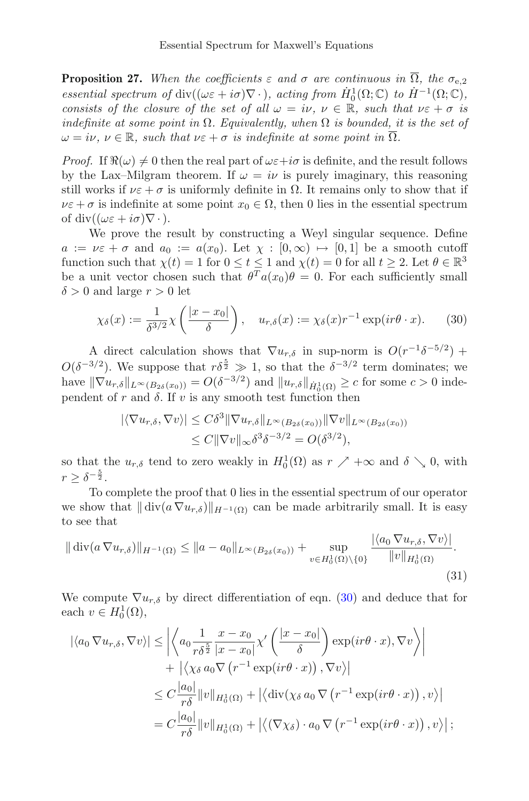<span id="page-20-0"></span>**Proposition 27.** When the coefficients  $\varepsilon$  and  $\sigma$  are continuous in  $\overline{\Omega}$ , the  $\sigma_{e,2}$ *essential spectrum of* div $((\omega \varepsilon + i\sigma)\nabla \cdot)$ *, acting from*  $H_0^1(\Omega; \mathbb{C})$  *to*  $H^{-1}(\Omega; \mathbb{C})$ *, consists of the closure of the set of all*  $\omega = i\nu$ ,  $\nu \in \mathbb{R}$ , such that  $\nu \in \alpha + \sigma$  is *indefinite at some point in*  $\Omega$ *. Equivalently, when*  $\Omega$  *is bounded, it is the set of*  $\omega = i\nu, \nu \in \mathbb{R}$ , such that  $\nu \in \alpha + \sigma$  *is indefinite at some point in*  $\overline{\Omega}$ *.* 

*Proof.* If  $\Re(\omega) \neq 0$  then the real part of  $\omega \varepsilon + i\sigma$  is definite, and the result follows by the Lax–Milgram theorem. If  $\omega = i\nu$  is purely imaginary, this reasoning still works if  $\nu \varepsilon + \sigma$  is uniformly definite in  $\Omega$ . It remains only to show that if  $\nu \varepsilon + \sigma$  is indefinite at some point  $x_0 \in \Omega$ , then 0 lies in the essential spectrum of div $((\omega \varepsilon + i\sigma)\nabla \cdot)$ .

We prove the result by constructing a Weyl singular sequence. Define  $a := \nu \varepsilon + \sigma$  and  $a_0 := a(x_0)$ . Let  $\chi : [0, \infty) \mapsto [0, 1]$  be a smooth cutoff function such that  $\chi(t) = 1$  for  $0 \le t \le 1$  and  $\chi(t) = 0$  for all  $t \ge 2$ . Let  $\theta \in \mathbb{R}^3$ be a unit vector chosen such that  $\theta^T a(x_0)\theta = 0$ . For each sufficiently small  $\delta > 0$  and large  $r > 0$  let

<span id="page-20-1"></span>
$$
\chi_{\delta}(x) := \frac{1}{\delta^{3/2}} \chi\left(\frac{|x - x_0|}{\delta}\right), \quad u_{r,\delta}(x) := \chi_{\delta}(x) r^{-1} \exp(ir\theta \cdot x). \tag{30}
$$

A direct calculation shows that  $\nabla u_{r,\delta}$  in sup-norm is  $O(r^{-1}\delta^{-5/2})$  +  $O(\delta^{-3/2})$ . We suppose that  $r\delta^{\frac{5}{2}} \gg 1$ , so that the  $\delta^{-3/2}$  term dominates; we have  $\|\nabla u_{r,\delta}\|_{L^{\infty}(B_{2\delta}(x_0))} = O(\delta^{-3/2})$  and  $\|u_{r,\delta}\|_{\dot{H}^1_0(\Omega)} \ge c$  for some  $c > 0$  independent of r and  $\delta$ . If v is any smooth test function then

$$
|\langle \nabla u_{r,\delta}, \nabla v \rangle| \leq C\delta^3 \|\nabla u_{r,\delta}\|_{L^\infty(B_{2\delta}(x_0))} \|\nabla v\|_{L^\infty(B_{2\delta}(x_0))}
$$
  

$$
\leq C \|\nabla v\|_{\infty} \delta^3 \delta^{-3/2} = O(\delta^{3/2}),
$$

so that the  $u_{r,\delta}$  tend to zero weakly in  $H_0^1(\Omega)$  as  $r \nearrow +\infty$  and  $\delta \searrow 0$ , with  $r \geq \delta^{-\frac{5}{2}}.$ 

To complete the proof that 0 lies in the essential spectrum of our operator we show that  $\|\text{div}(a \nabla u_{r,\delta})\|_{H^{-1}(\Omega)}$  can be made arbitrarily small. It is easy to see that

<span id="page-20-2"></span>
$$
\|\operatorname{div}(a\nabla u_{r,\delta})\|_{H^{-1}(\Omega)} \le \|a - a_0\|_{L^{\infty}(B_{2\delta}(x_0))} + \sup_{v \in H_0^1(\Omega) \setminus \{0\}} \frac{|\langle a_0 \nabla u_{r,\delta}, \nabla v \rangle|}{\|v\|_{H_0^1(\Omega)}}.
$$
\n(31)

We compute  $\nabla u_{r,\delta}$  by direct differentiation of eqn. [\(30\)](#page-20-1) and deduce that for each  $v \in H_0^1(\Omega)$ ,

$$
\begin{split}\n|\langle a_0 \nabla u_{r,\delta}, \nabla v \rangle| &\leq \left| \left\langle a_0 \frac{1}{r\delta^{\frac{5}{2}}} \frac{x - x_0}{|x - x_0|} \chi' \left( \frac{|x - x_0|}{\delta} \right) \exp(ir\theta \cdot x), \nabla v \right\rangle \right| \\
&\quad + |\langle \chi_{\delta} a_0 \nabla (r^{-1} \exp(ir\theta \cdot x)), \nabla v \rangle| \\
&\leq C \frac{|a_0|}{r\delta} \|v\|_{H_0^1(\Omega)} + |\langle \operatorname{div}(\chi_{\delta} a_0 \nabla (r^{-1} \exp(ir\theta \cdot x)), v \rangle| \\
&= C \frac{|a_0|}{r\delta} \|v\|_{H_0^1(\Omega)} + |\langle (\nabla \chi_{\delta}) \cdot a_0 \nabla (r^{-1} \exp(ir\theta \cdot x)), v \rangle| \, ;\n\end{split}
$$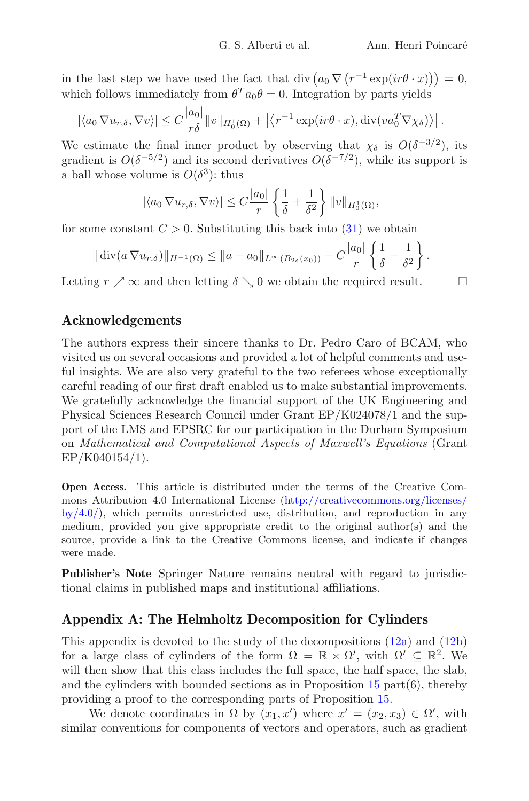in the last step we have used the fact that div  $(a_0 \nabla (r^{-1} \exp(i r \theta \cdot x))) = 0$ , which follows immediately from  $\theta^T a_0 \theta = 0$ . Integration by parts yields

$$
|\langle a_0 \nabla u_{r,\delta}, \nabla v \rangle| \leq C \frac{|a_0|}{r\delta} ||v||_{H_0^1(\Omega)} + |\langle r^{-1} \exp(i r \theta \cdot x), \operatorname{div}(v a_0^T \nabla \chi_{\delta}) \rangle|.
$$

We estimate the final inner product by observing that  $\chi_{\delta}$  is  $O(\delta^{-3/2})$ , its gradient is  $O(\delta^{-5/2})$  and its second derivatives  $O(\delta^{-7/2})$ , while its support is a ball whose volume is  $O(\delta^3)$ : thus

$$
|\langle a_0 \nabla u_{r,\delta}, \nabla v \rangle| \leq C \frac{|a_0|}{r} \left\{ \frac{1}{\delta} + \frac{1}{\delta^2} \right\} ||v||_{H_0^1(\Omega)},
$$

for some constant  $C > 0$ . Substituting this back into  $(31)$  we obtain

$$
\|\operatorname{div}(a\nabla u_{r,\delta})\|_{H^{-1}(\Omega)} \leq \|a-a_0\|_{L^{\infty}(B_{2\delta}(x_0))} + C\frac{|a_0|}{r}\left\{\frac{1}{\delta} + \frac{1}{\delta^2}\right\}.
$$

Letting  $r \nearrow \infty$  and then letting  $\delta \searrow 0$  we obtain the required result.  $\Box$ 

# **Acknowledgements**

The authors express their sincere thanks to Dr. Pedro Caro of BCAM, who visited us on several occasions and provided a lot of helpful comments and useful insights. We are also very grateful to the two referees whose exceptionally careful reading of our first draft enabled us to make substantial improvements. We gratefully acknowledge the financial support of the UK Engineering and Physical Sciences Research Council under Grant EP/K024078/1 and the support of the LMS and EPSRC for our participation in the Durham Symposium on *Mathematical and Computational Aspects of Maxwell's Equations* (Grant EP/K040154/1).

**Open Access.** This article is distributed under the terms of the Creative Commons Attribution 4.0 International License [\(http://creativecommons.org/licenses/](http://creativecommons.org/licenses/by/4.0/)  $by/4.0$ , which permits unrestricted use, distribution, and reproduction in any medium, provided you give appropriate credit to the original author(s) and the source, provide a link to the Creative Commons license, and indicate if changes were made.

**Publisher's Note** Springer Nature remains neutral with regard to jurisdictional claims in published maps and institutional affiliations.

## **Appendix A: The Helmholtz Decomposition for Cylinders**

This appendix is devoted to the study of the decompositions [\(12a\)](#page-9-2) and [\(12b\)](#page-9-3) for a large class of cylinders of the form  $\Omega = \mathbb{R} \times \Omega'$ , with  $\Omega' \subseteq \mathbb{R}^2$ . We will then show that this class includes the full space, the half space, the slab, and the cylinders with bounded sections as in Proposition  $15$  part $(6)$ , thereby providing a proof to the corresponding parts of Proposition [15.](#page-9-1)

We denote coordinates in  $\Omega$  by  $(x_1, x')$  where  $x' = (x_2, x_3) \in \Omega'$ , with similar conventions for components of vectors and operators, such as gradient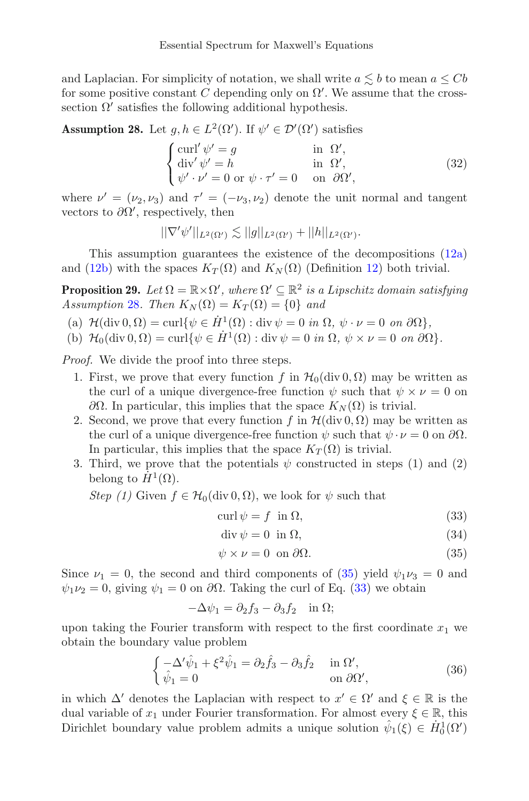and Laplacian. For simplicity of notation, we shall write  $a \lesssim b$  to mean  $a \leq Cb$ for some positive constant C depending only on  $\Omega'$ . We assume that the crosssection  $\Omega'$  satisfies the following additional hypothesis.

<span id="page-22-1"></span>**Assumption 28.** Let  $g, h \in L^2(\Omega')$ . If  $\psi' \in \mathcal{D}'(\Omega')$  satisfies

<span id="page-22-6"></span>
$$
\begin{cases}\n\text{curl}' \ \psi' = g & \text{in } \Omega', \\
\text{div}' \ \psi' = h & \text{in } \Omega', \\
\psi' \cdot \nu' = 0 & \text{or } \psi \cdot \tau' = 0 & \text{on } \partial\Omega',\n\end{cases}
$$
\n(32)

where  $\nu' = (\nu_2, \nu_3)$  and  $\tau' = (-\nu_3, \nu_2)$  denote the unit normal and tangent vectors to  $\partial\Omega'$ , respectively, then

$$
||\nabla'\psi'||_{L^2(\Omega')} \lesssim ||g||_{L^2(\Omega')} + ||h||_{L^2(\Omega')}.
$$

This assumption guarantees the existence of the decompositions  $(12a)$ and [\(12b\)](#page-9-3) with the spaces  $K_T(\Omega)$  and  $K_N(\Omega)$  (Definition [12\)](#page-8-1) both trivial.

<span id="page-22-0"></span>**Proposition 29.** *Let*  $\Omega = \mathbb{R} \times \Omega'$ , where  $\Omega' \subseteq \mathbb{R}^2$  *is a Lipschitz domain satisfying Assumption* [28](#page-22-1)*. Then*  $K_N(\Omega) = K_T(\Omega) = \{0\}$  *and* 

- (a)  $\mathcal{H}(\text{div } 0, \Omega) = \text{curl}\{\psi \in \dot{H}^1(\Omega) : \text{div }\psi = 0 \text{ in } \Omega, \ \psi \cdot \nu = 0 \text{ on } \partial\Omega\},\$
- (b)  $\mathcal{H}_0(\text{div } 0, \Omega) = \text{curl}\{\psi \in \dot{H}^1(\Omega) : \text{div }\psi = 0 \text{ in } \Omega, \ \psi \times \nu = 0 \text{ on } \partial\Omega\}.$

*Proof.* We divide the proof into three steps.

- 1. First, we prove that every function f in  $\mathcal{H}_0(\text{div } 0, \Omega)$  may be written as the curl of a unique divergence-free function  $\psi$  such that  $\psi \times \nu = 0$  on  $\partial Ω$ . In particular, this implies that the space  $K_N(\Omega)$  is trivial.
- 2. Second, we prove that every function f in  $\mathcal{H}(\text{div } 0, \Omega)$  may be written as the curl of a unique divergence-free function  $\psi$  such that  $\psi \cdot \nu = 0$  on  $\partial \Omega$ . In particular, this implies that the space  $K_T(\Omega)$  is trivial.
- 3. Third, we prove that the potentials  $\psi$  constructed in steps (1) and (2) belong to  $\dot{H}^1(\Omega)$ .

*Step (1)* Given  $f \in H_0(\text{div } 0, \Omega)$ , we look for  $\psi$  such that

<span id="page-22-3"></span>
$$
\operatorname{curl}\psi = f \quad \text{in } \Omega,\tag{33}
$$

<span id="page-22-4"></span><span id="page-22-2"></span>
$$
\operatorname{div}\psi = 0 \quad \text{in } \Omega,\tag{34}
$$

$$
\psi \times \nu = 0 \text{ on } \partial \Omega. \tag{35}
$$

Since  $\nu_1 = 0$ , the second and third components of [\(35\)](#page-22-2) yield  $\psi_1 \nu_3 = 0$  and  $\psi_1 \nu_2 = 0$ , giving  $\psi_1 = 0$  on  $\partial \Omega$ . Taking the curl of Eq. [\(33\)](#page-22-3) we obtain

$$
-\Delta \psi_1 = \partial_2 f_3 - \partial_3 f_2 \quad \text{in } \Omega;
$$

upon taking the Fourier transform with respect to the first coordinate  $x_1$  we obtain the boundary value problem

<span id="page-22-5"></span>
$$
\begin{cases}\n-\Delta' \hat{\psi}_1 + \xi^2 \hat{\psi}_1 = \partial_2 \hat{f}_3 - \partial_3 \hat{f}_2 & \text{in } \Omega', \\
\hat{\psi}_1 = 0 & \text{on } \partial \Omega',\n\end{cases}
$$
\n(36)

in which  $\Delta'$  denotes the Laplacian with respect to  $x' \in \Omega'$  and  $\xi \in \mathbb{R}$  is the dual variable of  $x_1$  under Fourier transformation. For almost every  $\xi \in \mathbb{R}$ , this Dirichlet boundary value problem admits a unique solution  $\hat{\psi}_1(\xi) \in \dot{H}_0^1(\Omega)$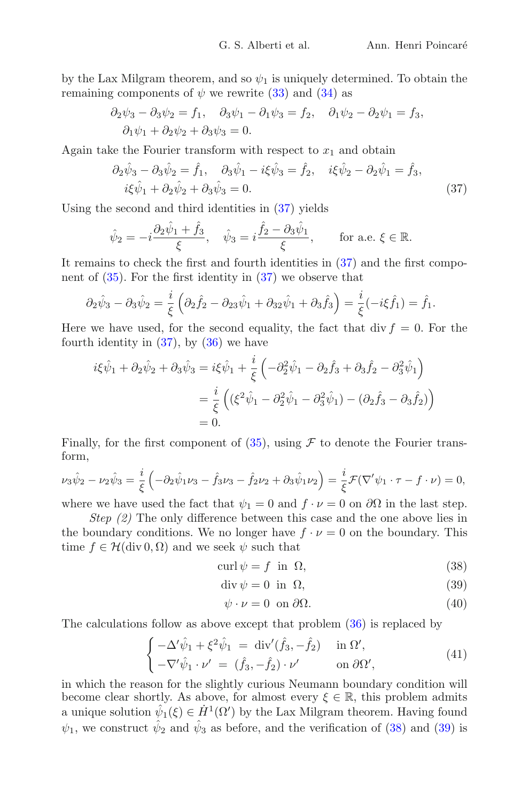by the Lax Milgram theorem, and so  $\psi_1$  is uniquely determined. To obtain the remaining components of  $\psi$  we rewrite [\(33\)](#page-22-3) and [\(34\)](#page-22-4) as

$$
\partial_2 \psi_3 - \partial_3 \psi_2 = f_1, \quad \partial_3 \psi_1 - \partial_1 \psi_3 = f_2, \quad \partial_1 \psi_2 - \partial_2 \psi_1 = f_3,
$$
  
 $\partial_1 \psi_1 + \partial_2 \psi_2 + \partial_3 \psi_3 = 0.$ 

Again take the Fourier transform with respect to  $x_1$  and obtain

<span id="page-23-0"></span>
$$
\partial_2 \hat{\psi}_3 - \partial_3 \hat{\psi}_2 = \hat{f}_1, \quad \partial_3 \hat{\psi}_1 - i \xi \hat{\psi}_3 = \hat{f}_2, \quad i \xi \hat{\psi}_2 - \partial_2 \hat{\psi}_1 = \hat{f}_3, \n i \xi \hat{\psi}_1 + \partial_2 \hat{\psi}_2 + \partial_3 \hat{\psi}_3 = 0.
$$
\n(37)

Using the second and third identities in [\(37\)](#page-23-0) yields

$$
\hat{\psi}_2 = -i\frac{\partial_2\hat{\psi}_1 + \hat{f}_3}{\xi}, \quad \hat{\psi}_3 = i\frac{\hat{f}_2 - \partial_3\hat{\psi}_1}{\xi}, \quad \text{for a.e. } \xi \in \mathbb{R}.
$$

It remains to check the first and fourth identities in [\(37\)](#page-23-0) and the first component of  $(35)$ . For the first identity in  $(37)$  we observe that

$$
\partial_2 \hat{\psi}_3 - \partial_3 \hat{\psi}_2 = \frac{i}{\xi} \left( \partial_2 \hat{f}_2 - \partial_{23} \hat{\psi}_1 + \partial_{32} \hat{\psi}_1 + \partial_3 \hat{f}_3 \right) = \frac{i}{\xi} (-i\xi \hat{f}_1) = \hat{f}_1.
$$

Here we have used, for the second equality, the fact that div  $f = 0$ . For the fourth identity in  $(37)$ , by  $(36)$  we have

$$
i\xi\hat{\psi}_1 + \partial_2\hat{\psi}_2 + \partial_3\hat{\psi}_3 = i\xi\hat{\psi}_1 + \frac{i}{\xi} \left( -\partial_2^2\hat{\psi}_1 - \partial_2\hat{f}_3 + \partial_3\hat{f}_2 - \partial_3^2\hat{\psi}_1 \right)
$$
  
=  $\frac{i}{\xi} \left( (\xi^2\hat{\psi}_1 - \partial_2^2\hat{\psi}_1 - \partial_3^2\hat{\psi}_1) - (\partial_2\hat{f}_3 - \partial_3\hat{f}_2) \right)$   
= 0.

Finally, for the first component of  $(35)$ , using  $\mathcal F$  to denote the Fourier transform,

$$
\nu_3 \hat{\psi}_2 - \nu_2 \hat{\psi}_3 = \frac{i}{\xi} \left( -\partial_2 \hat{\psi}_1 \nu_3 - \hat{f}_3 \nu_3 - \hat{f}_2 \nu_2 + \partial_3 \hat{\psi}_1 \nu_2 \right) = \frac{i}{\xi} \mathcal{F}(\nabla' \psi_1 \cdot \tau - f \cdot \nu) = 0,
$$

where we have used the fact that  $\psi_1 = 0$  and  $f \cdot \nu = 0$  on  $\partial\Omega$  in the last step.

*Step (2)* The only difference between this case and the one above lies in the boundary conditions. We no longer have  $f \cdot \nu = 0$  on the boundary. This time  $f \in \mathcal{H}(\text{div } 0, \Omega)$  and we seek  $\psi$  such that

$$
\operatorname{curl}\psi = f \quad \text{in} \quad \Omega,\tag{38}
$$

$$
\operatorname{div}\psi = 0 \quad \text{in} \quad \Omega,\tag{39}
$$

<span id="page-23-3"></span><span id="page-23-2"></span><span id="page-23-1"></span>
$$
\psi \cdot \nu = 0 \text{ on } \partial \Omega. \tag{40}
$$

The calculations follow as above except that problem [\(36\)](#page-22-5) is replaced by

<span id="page-23-4"></span>
$$
\begin{cases}\n-\Delta' \hat{\psi}_1 + \xi^2 \hat{\psi}_1 = \operatorname{div}'(\hat{f}_3, -\hat{f}_2) & \text{in } \Omega', \\
-\nabla' \hat{\psi}_1 \cdot \nu' = (\hat{f}_3, -\hat{f}_2) \cdot \nu' & \text{on } \partial \Omega',\n\end{cases} (41)
$$

in which the reason for the slightly curious Neumann boundary condition will become clear shortly. As above, for almost every  $\xi \in \mathbb{R}$ , this problem admits a unique solution  $\hat{\psi}_1(\xi) \in \dot{H}^1(\Omega')$  by the Lax Milgram theorem. Having found  $\psi_1$ , we construct  $\hat{\psi}_2$  and  $\hat{\psi}_3$  as before, and the verification of [\(38\)](#page-23-1) and [\(39\)](#page-23-2) is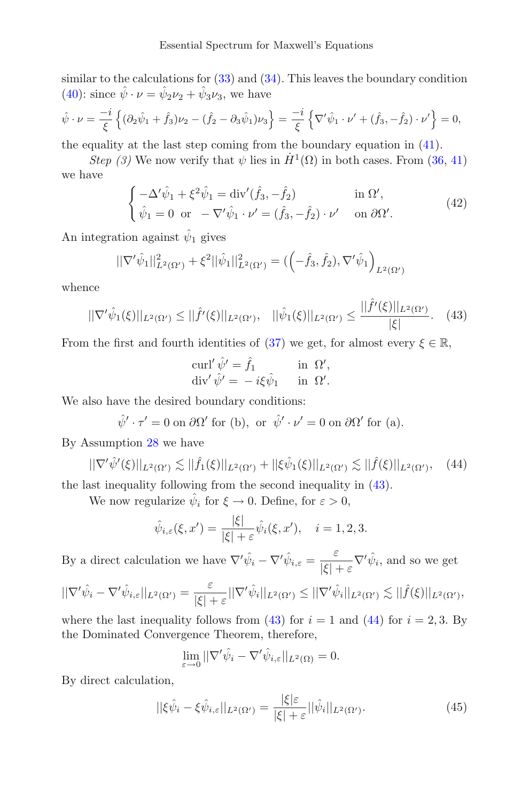similar to the calculations for  $(33)$  and  $(34)$ . This leaves the boundary condition [\(40\)](#page-23-3): since  $\hat{\psi} \cdot \nu = \hat{\psi}_2 \nu_2 + \hat{\psi}_3 \nu_3$ , we have

$$
\hat{\psi} \cdot \nu = \frac{-i}{\xi} \left\{ (\partial_2 \hat{\psi}_1 + \hat{f}_3) \nu_2 - (\hat{f}_2 - \partial_3 \hat{\psi}_1) \nu_3 \right\} = \frac{-i}{\xi} \left\{ \nabla' \hat{\psi}_1 \cdot \nu' + (\hat{f}_3, -\hat{f}_2) \cdot \nu' \right\} = 0,
$$

the equality at the last step coming from the boundary equation in [\(41\)](#page-23-4).

*Step (3)* We now verify that  $\psi$  lies in  $\dot{H}^1(\Omega)$  in both cases. From [\(36,](#page-22-5) [41\)](#page-23-4) we have

$$
\begin{cases}\n-\Delta' \hat{\psi}_1 + \xi^2 \hat{\psi}_1 = \text{div}'(\hat{f}_3, -\hat{f}_2) & \text{in } \Omega', \\
\hat{\psi}_1 = 0 \text{ or } -\nabla' \hat{\psi}_1 \cdot \nu' = (\hat{f}_3, -\hat{f}_2) \cdot \nu' & \text{on } \partial \Omega'.\n\end{cases} (42)
$$

An integration against  $\hat{\psi}_1$  gives

$$
||\nabla'\hat{\psi}_1||_{L^2(\Omega')}^2 + \xi^2 ||\hat{\psi}_1||_{L^2(\Omega')}^2 = \left( \left( -\hat{f}_3, \hat{f}_2, \nabla'\hat{\psi}_1 \right)_{L^2(\Omega')}
$$

whence

<span id="page-24-0"></span>
$$
||\nabla' \hat{\psi}_1(\xi)||_{L^2(\Omega')} \le ||\hat{f}'(\xi)||_{L^2(\Omega')}, \quad ||\hat{\psi}_1(\xi)||_{L^2(\Omega')} \le \frac{||\hat{f}'(\xi)||_{L^2(\Omega')}}{|\xi|}.\tag{43}
$$

From the first and fourth identities of [\(37\)](#page-23-0) we get, for almost every  $\xi \in \mathbb{R}$ ,

$$
\operatorname{curl}' \hat{\psi}' = \hat{f}_1 \quad \text{in } \Omega',\n\operatorname{div}' \hat{\psi}' = -i\xi \hat{\psi}_1 \quad \text{in } \Omega'.
$$

We also have the desired boundary conditions:

 $\hat{\psi}' \cdot \tau' = 0$  on  $\partial \Omega'$  for (b), or  $\hat{\psi}' \cdot \nu' = 0$  on  $\partial \Omega'$  for (a).

By Assumption [28](#page-22-1) we have

<span id="page-24-1"></span>
$$
||\nabla' \hat{\psi}'(\xi)||_{L^2(\Omega')} \lesssim ||\hat{f}_1(\xi)||_{L^2(\Omega')} + ||\xi \hat{\psi}_1(\xi)||_{L^2(\Omega')} \lesssim ||\hat{f}(\xi)||_{L^2(\Omega')} , \quad (44)
$$

the last inequality following from the second inequality in [\(43\)](#page-24-0).

We now regularize  $\hat{\psi}_i$  for  $\xi \to 0$ . Define, for  $\varepsilon > 0$ ,

$$
\hat{\psi}_{i,\varepsilon}(\xi, x') = \frac{|\xi|}{|\xi| + \varepsilon} \hat{\psi}_i(\xi, x'), \quad i = 1, 2, 3.
$$

By a direct calculation we have  $\nabla' \hat{\psi}_i - \nabla' \hat{\psi}_{i,\varepsilon} = \frac{\varepsilon}{|\varepsilon|}$  $\frac{\varepsilon}{|\xi| + \varepsilon} \nabla' \hat{\psi}_i$ , and so we get

$$
||\nabla'\hat{\psi}_i - \nabla'\hat{\psi}_{i,\varepsilon}||_{L^2(\Omega')} = \frac{\varepsilon}{|\xi| + \varepsilon}||\nabla'\hat{\psi}_i||_{L^2(\Omega')} \leq ||\nabla'\hat{\psi}_i||_{L^2(\Omega')} \lesssim ||\hat{f}(\xi)||_{L^2(\Omega')},
$$

where the last inequality follows from [\(43\)](#page-24-0) for  $i = 1$  and [\(44\)](#page-24-1) for  $i = 2, 3$ . By the Dominated Convergence Theorem, therefore,

$$
\lim_{\varepsilon \to 0} \|\nabla' \hat{\psi}_i - \nabla' \hat{\psi}_{i,\varepsilon}\|_{L^2(\Omega)} = 0.
$$

By direct calculation,

<span id="page-24-2"></span>
$$
||\xi\hat{\psi}_i - \xi\hat{\psi}_{i,\varepsilon}||_{L^2(\Omega')} = \frac{|\xi|\varepsilon}{|\xi| + \varepsilon}||\hat{\psi}_i||_{L^2(\Omega')}.
$$
\n(45)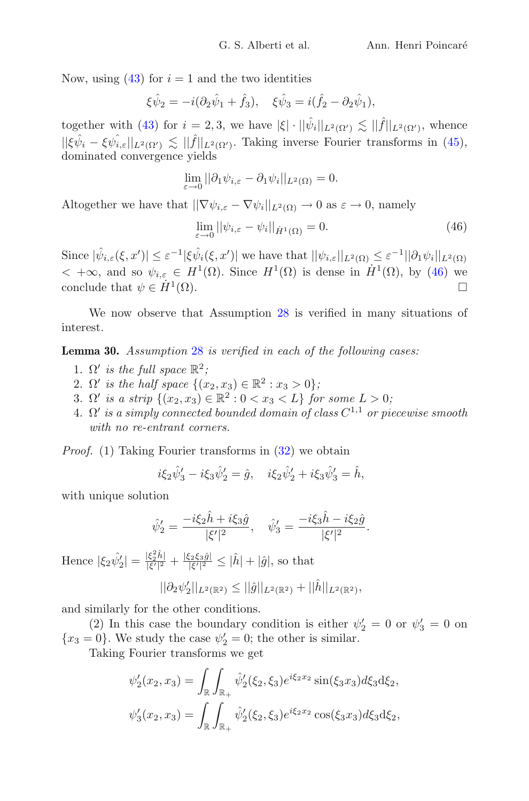Now, using  $(43)$  for  $i = 1$  and the two identities

$$
\xi \hat{\psi}_2 = -i(\partial_2 \hat{\psi}_1 + \hat{f}_3), \quad \xi \hat{\psi}_3 = i(\hat{f}_2 - \partial_2 \hat{\psi}_1),
$$

together with [\(43\)](#page-24-0) for  $i = 2, 3$ , we have  $|\xi| \cdot ||\hat{\psi}_i||_{L^2(\Omega')} \lesssim ||\hat{f}||_{L^2(\Omega')}$ , whence  $||\xi\hat{\psi}_i - \xi\hat{\psi}_{i,\varepsilon}||_{L^2(\Omega')} \lesssim ||\hat{f}||_{L^2(\Omega')}$ . Taking inverse Fourier transforms in [\(45\)](#page-24-2), dominated convergence yields

$$
\lim_{\varepsilon \to 0} ||\partial_1 \psi_{i,\varepsilon} - \partial_1 \psi_i||_{L^2(\Omega)} = 0.
$$

Altogether we have that  $||\nabla \psi_{i,\varepsilon} - \nabla \psi_i||_{L^2(\Omega)} \to 0$  as  $\varepsilon \to 0$ , namely

<span id="page-25-1"></span>
$$
\lim_{\varepsilon \to 0} ||\psi_{i,\varepsilon} - \psi_i||_{\dot{H}^1(\Omega)} = 0. \tag{46}
$$

Since  $|\hat{\psi}_{i,\varepsilon}(\xi, x')| \leq \varepsilon^{-1} |\xi \hat{\psi}_{i}(\xi, x')|$  we have that  $||\psi_{i,\varepsilon}||_{L^{2}(\Omega)} \leq \varepsilon^{-1} ||\partial_1 \psi_i||_{L^{2}(\Omega)}$  $< +\infty$ , and so  $\psi_{i,\varepsilon} \in H^1(\Omega)$ . Since  $H^1(\Omega)$  is dense in  $\dot{H}^1(\Omega)$ , by [\(46\)](#page-25-1) we conclude that  $\psi \in \dot{H}^1(\Omega)$ conclude that  $\psi \in \dot{H}^1(\Omega)$ .

We now observe that Assumption [28](#page-22-1) is verified in many situations of interest.

<span id="page-25-0"></span>**Lemma 30.** *Assumption* [28](#page-22-1) *is verified in each of the following cases:*

- 1.  $\Omega'$  *is the full space*  $\mathbb{R}^2$ *;*
- 2.  $\Omega'$  is the half space  $\{(x_2, x_3) \in \mathbb{R}^2 : x_3 > 0\}$ ;
- 3.  $\Omega'$  is a strip  $\{(x_2, x_3) \in \mathbb{R}^2 : 0 < x_3 < L\}$  for some  $L > 0$ ;
- $4. \ \Omega'$  is a simply connected bounded domain of class  $C^{1,1}$  or piecewise smooth *with no re-entrant corners.*

*Proof.* (1) Taking Fourier transforms in [\(32\)](#page-22-6) we obtain

$$
i\xi_2\hat{\psi}'_3 - i\xi_3\hat{\psi}'_2 = \hat{g}, \quad i\xi_2\hat{\psi}'_2 + i\xi_3\hat{\psi}'_3 = \hat{h},
$$

with unique solution

$$
\hat{\psi}'_2 = \frac{-i\xi_2 \hat{h} + i\xi_3 \hat{g}}{|\xi'|^2}, \quad \hat{\psi}'_3 = \frac{-i\xi_3 \hat{h} - i\xi_2 \hat{g}}{|\xi'|^2}.
$$

Hence  $|\xi_2 \hat{\psi}_2|$  $|\zeta_2'| = \frac{|\xi_2^2 \hat{h}|}{|\xi'|^2}$  $\frac{|\xi_2^2 \hat{h}|}{|\xi'|^2} + \frac{|\xi_2 \xi_3 \hat{g}|}{|\xi'|^2} \leq |\hat{h}| + |\hat{g}|$ , so that

$$
||\partial_2 \psi_2'||_{L^2(\mathbb{R}^2)} \leq ||\hat{g}||_{L^2(\mathbb{R}^2)} + ||\hat{h}||_{L^2(\mathbb{R}^2)},
$$

and similarly for the other conditions.

(2) In this case the boundary condition is either  $\psi'_2 = 0$  or  $\psi'_3 = 0$  on  ${x_3 = 0}$ . We study the case  $\psi'_2 = 0$ ; the other is similar.

Taking Fourier transforms we get

$$
\psi_2'(x_2, x_3) = \int_{\mathbb{R}} \int_{\mathbb{R}_+} \hat{\psi}_2'(\xi_2, \xi_3) e^{i\xi_2 x_2} \sin(\xi_3 x_3) d\xi_3 d\xi_2,
$$
  

$$
\psi_3'(x_2, x_3) = \int_{\mathbb{R}} \int_{\mathbb{R}_+} \hat{\psi}_2'(\xi_2, \xi_3) e^{i\xi_2 x_2} \cos(\xi_3 x_3) d\xi_3 d\xi_2,
$$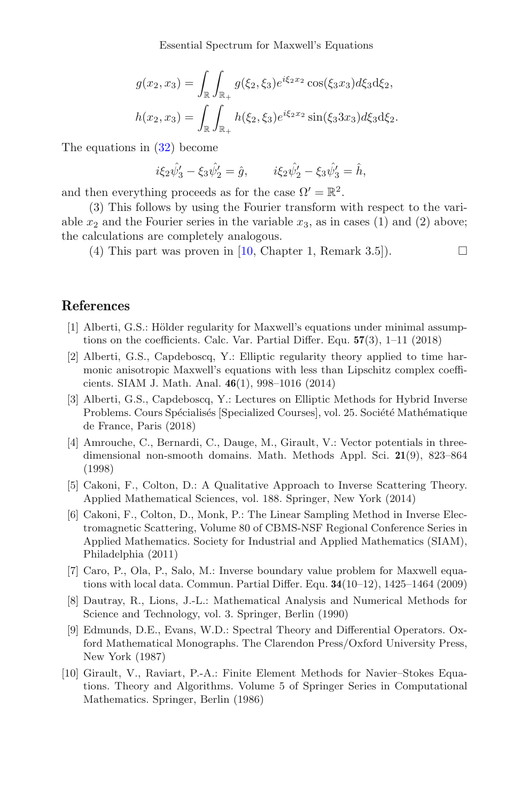Essential Spectrum for Maxwell's Equations

$$
g(x_2, x_3) = \int_{\mathbb{R}} \int_{\mathbb{R}_+} g(\xi_2, \xi_3) e^{i\xi_2 x_2} \cos(\xi_3 x_3) d\xi_3 d\xi_2,
$$
  

$$
h(x_2, x_3) = \int_{\mathbb{R}} \int_{\mathbb{R}_+} h(\xi_2, \xi_3) e^{i\xi_2 x_2} \sin(\xi_3 3x_3) d\xi_3 d\xi_2.
$$

The equations in [\(32\)](#page-22-6) become

$$
i\xi_2\hat{\psi}'_3 - \xi_3\hat{\psi}'_2 = \hat{g}, \qquad i\xi_2\hat{\psi}'_2 - \xi_3\hat{\psi}'_3 = \hat{h},
$$

and then everything proceeds as for the case  $\Omega' = \mathbb{R}^2$ .

(3) This follows by using the Fourier transform with respect to the variable  $x_2$  and the Fourier series in the variable  $x_3$ , as in cases (1) and (2) above; the calculations are completely analogous.

(4) This part was proven in [\[10](#page-26-9), Chapter 1, Remark 3.5]).  $\Box$ 

#### **References**

- <span id="page-26-3"></span>[1] Alberti, G.S.: Hölder regularity for Maxwell's equations under minimal assumptions on the coefficients. Calc. Var. Partial Differ. Equ. **57**(3), 1–11 (2018)
- <span id="page-26-5"></span>[2] Alberti, G.S., Capdeboscq, Y.: Elliptic regularity theory applied to time harmonic anisotropic Maxwell's equations with less than Lipschitz complex coefficients. SIAM J. Math. Anal. **46**(1), 998–1016 (2014)
- <span id="page-26-4"></span>[3] Alberti, G.S., Capdeboscq, Y.: Lectures on Elliptic Methods for Hybrid Inverse Problems. Cours Spécialisés [Specialized Courses], vol. 25. Société Mathématique de France, Paris (2018)
- <span id="page-26-7"></span>[4] Amrouche, C., Bernardi, C., Dauge, M., Girault, V.: Vector potentials in threedimensional non-smooth domains. Math. Methods Appl. Sci. **21**(9), 823–864 (1998)
- <span id="page-26-0"></span>[5] Cakoni, F., Colton, D.: A Qualitative Approach to Inverse Scattering Theory. Applied Mathematical Sciences, vol. 188. Springer, New York (2014)
- <span id="page-26-1"></span>[6] Cakoni, F., Colton, D., Monk, P.: The Linear Sampling Method in Inverse Electromagnetic Scattering, Volume 80 of CBMS-NSF Regional Conference Series in Applied Mathematics. Society for Industrial and Applied Mathematics (SIAM), Philadelphia (2011)
- <span id="page-26-2"></span>[7] Caro, P., Ola, P., Salo, M.: Inverse boundary value problem for Maxwell equations with local data. Commun. Partial Differ. Equ. **34**(10–12), 1425–1464 (2009)
- <span id="page-26-8"></span>[8] Dautray, R., Lions, J.-L.: Mathematical Analysis and Numerical Methods for Science and Technology, vol. 3. Springer, Berlin (1990)
- <span id="page-26-6"></span>[9] Edmunds, D.E., Evans, W.D.: Spectral Theory and Differential Operators. Oxford Mathematical Monographs. The Clarendon Press/Oxford University Press, New York (1987)
- <span id="page-26-9"></span>[10] Girault, V., Raviart, P.-A.: Finite Element Methods for Navier–Stokes Equations. Theory and Algorithms. Volume 5 of Springer Series in Computational Mathematics. Springer, Berlin (1986)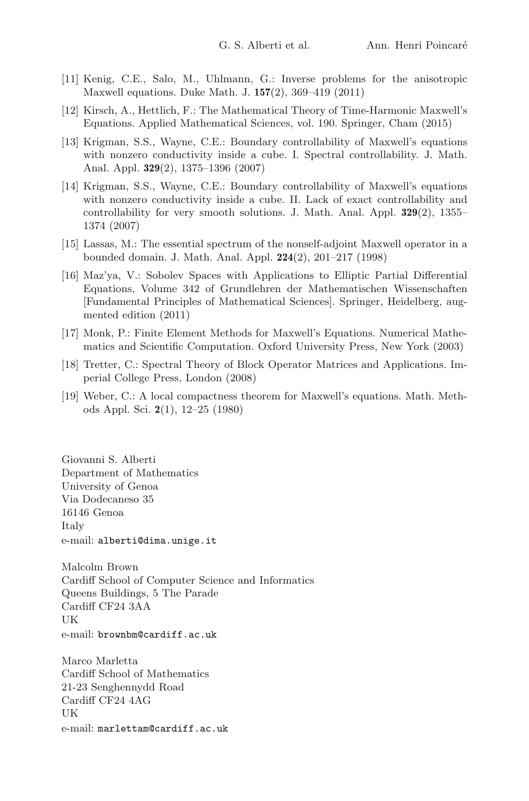- <span id="page-27-2"></span>[11] Kenig, C.E., Salo, M., Uhlmann, G.: Inverse problems for the anisotropic Maxwell equations. Duke Math. J. **157**(2), 369–419 (2011)
- <span id="page-27-6"></span>[12] Kirsch, A., Hettlich, F.: The Mathematical Theory of Time-Harmonic Maxwell's Equations. Applied Mathematical Sciences, vol. 190. Springer, Cham (2015)
- <span id="page-27-3"></span>[13] Krigman, S.S., Wayne, C.E.: Boundary controllability of Maxwell's equations with nonzero conductivity inside a cube. I. Spectral controllability. J. Math. Anal. Appl. **329**(2), 1375–1396 (2007)
- <span id="page-27-4"></span>[14] Krigman, S.S., Wayne, C.E.: Boundary controllability of Maxwell's equations with nonzero conductivity inside a cube. II. Lack of exact controllability and controllability for very smooth solutions. J. Math. Anal. Appl. **329**(2), 1355– 1374 (2007)
- <span id="page-27-0"></span>[15] Lassas, M.: The essential spectrum of the nonself-adjoint Maxwell operator in a bounded domain. J. Math. Anal. Appl. **224**(2), 201–217 (1998)
- <span id="page-27-5"></span>[16] Maz'ya, V.: Sobolev Spaces with Applications to Elliptic Partial Differential Equations, Volume 342 of Grundlehren der Mathematischen Wissenschaften [Fundamental Principles of Mathematical Sciences]. Springer, Heidelberg, augmented edition (2011)
- <span id="page-27-1"></span>[17] Monk, P.: Finite Element Methods for Maxwell's Equations. Numerical Mathematics and Scientific Computation. Oxford University Press, New York (2003)
- <span id="page-27-8"></span>[18] Tretter, C.: Spectral Theory of Block Operator Matrices and Applications. Imperial College Press, London (2008)
- <span id="page-27-7"></span>[19] Weber, C.: A local compactness theorem for Maxwell's equations. Math. Methods Appl. Sci. **2**(1), 12–25 (1980)

Giovanni S. Alberti Department of Mathematics University of Genoa Via Dodecaneso 35 16146 Genoa Italy e-mail: alberti@dima.unige.it

Malcolm Brown Cardiff School of Computer Science and Informatics Queens Buildings, 5 The Parade Cardiff CF24 3AA UK e-mail: brownbm@cardiff.ac.uk

Marco Marletta Cardiff School of Mathematics 21-23 Senghennydd Road Cardiff CF24 4AG UK e-mail: marlettam@cardiff.ac.uk